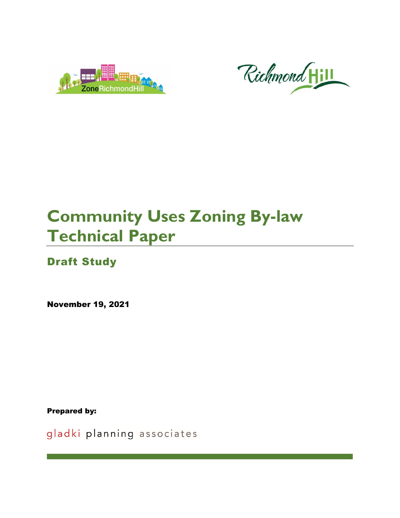



# **Community Uses Zoning By-law Technical Paper**

## Draft Study

November 19, 2021

Prepared by:

gladki planning associates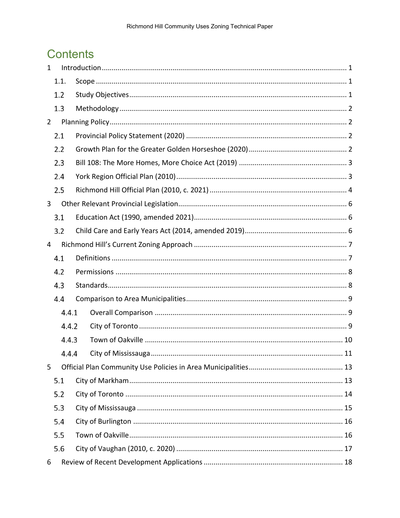## **Contents**

| $\mathbf{1}$   |       | Introduction 1 |  |  |  |  |  |  |  |  |
|----------------|-------|----------------|--|--|--|--|--|--|--|--|
|                | 1.1.  |                |  |  |  |  |  |  |  |  |
|                | 1.2   |                |  |  |  |  |  |  |  |  |
|                | 1.3   |                |  |  |  |  |  |  |  |  |
| $\overline{2}$ |       |                |  |  |  |  |  |  |  |  |
|                | 2.1   |                |  |  |  |  |  |  |  |  |
|                | 2.2   |                |  |  |  |  |  |  |  |  |
|                | 2.3   |                |  |  |  |  |  |  |  |  |
|                | 2.4   |                |  |  |  |  |  |  |  |  |
|                | 2.5   |                |  |  |  |  |  |  |  |  |
| 3              |       |                |  |  |  |  |  |  |  |  |
|                | 3.1   |                |  |  |  |  |  |  |  |  |
|                | 3.2   |                |  |  |  |  |  |  |  |  |
| 4              |       |                |  |  |  |  |  |  |  |  |
|                | 4.1   |                |  |  |  |  |  |  |  |  |
|                | 4.2   |                |  |  |  |  |  |  |  |  |
|                | 4.3   |                |  |  |  |  |  |  |  |  |
|                | 4.4   |                |  |  |  |  |  |  |  |  |
|                | 4.4.1 |                |  |  |  |  |  |  |  |  |
|                | 4.4.2 |                |  |  |  |  |  |  |  |  |
|                | 4.4.3 |                |  |  |  |  |  |  |  |  |
|                | 4.4.4 |                |  |  |  |  |  |  |  |  |
| 5              |       |                |  |  |  |  |  |  |  |  |
|                | 5.1   |                |  |  |  |  |  |  |  |  |
|                | 5.2   |                |  |  |  |  |  |  |  |  |
|                | 5.3   |                |  |  |  |  |  |  |  |  |
|                | 5.4   |                |  |  |  |  |  |  |  |  |
|                | 5.5   |                |  |  |  |  |  |  |  |  |
|                | 5.6   |                |  |  |  |  |  |  |  |  |
| 6              |       |                |  |  |  |  |  |  |  |  |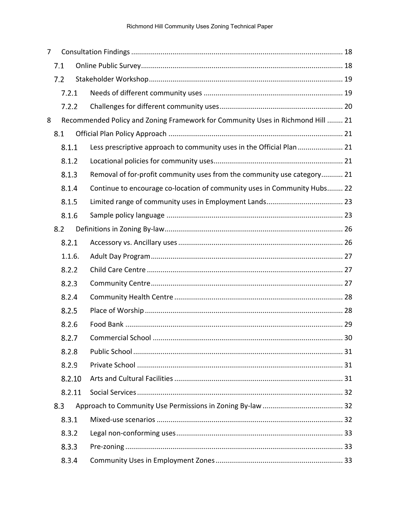| 7 |     |        |                                                                                 |    |
|---|-----|--------|---------------------------------------------------------------------------------|----|
|   | 7.1 |        |                                                                                 |    |
|   | 7.2 |        |                                                                                 |    |
|   |     | 7.2.1  |                                                                                 |    |
|   |     | 7.2.2  |                                                                                 |    |
| 8 |     |        | Recommended Policy and Zoning Framework for Community Uses in Richmond Hill  21 |    |
|   | 8.1 |        |                                                                                 |    |
|   |     | 8.1.1  | Less prescriptive approach to community uses in the Official Plan 21            |    |
|   |     | 8.1.2  |                                                                                 |    |
|   |     | 8.1.3  | Removal of for-profit community uses from the community use category 21         |    |
|   |     | 8.1.4  | Continue to encourage co-location of community uses in Community Hubs 22        |    |
|   |     | 8.1.5  |                                                                                 |    |
|   |     | 8.1.6  |                                                                                 |    |
|   | 8.2 |        |                                                                                 |    |
|   |     | 8.2.1  |                                                                                 |    |
|   |     | 1.1.6. |                                                                                 |    |
|   |     | 8.2.2  |                                                                                 |    |
|   |     | 8.2.3  |                                                                                 |    |
|   |     | 8.2.4  |                                                                                 |    |
|   |     | 8.2.5  |                                                                                 |    |
|   |     | 8.2.6  |                                                                                 |    |
|   |     | 8.2.7  | Commercial School                                                               | 30 |
|   |     | 8.2.8  |                                                                                 |    |
|   |     | 8.2.9  |                                                                                 |    |
|   |     | 8.2.10 |                                                                                 |    |
|   |     | 8.2.11 |                                                                                 |    |
|   | 8.3 |        |                                                                                 |    |
|   |     | 8.3.1  |                                                                                 |    |
|   |     | 8.3.2  |                                                                                 |    |
|   |     | 8.3.3  |                                                                                 |    |
|   |     | 8.3.4  |                                                                                 |    |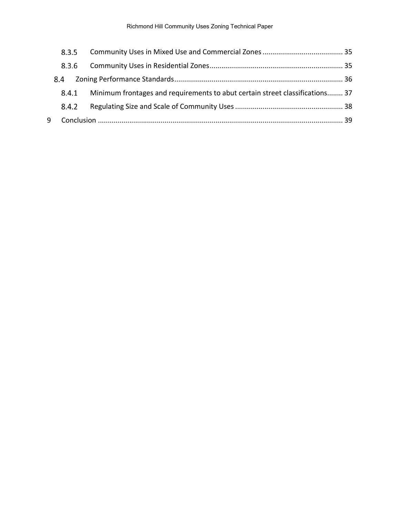|   | 8.3.5 |                                                                              |  |
|---|-------|------------------------------------------------------------------------------|--|
|   | 8.3.6 |                                                                              |  |
|   | 8.4   |                                                                              |  |
|   | 8.4.1 | Minimum frontages and requirements to abut certain street classifications 37 |  |
|   | 8.4.2 |                                                                              |  |
| 9 |       |                                                                              |  |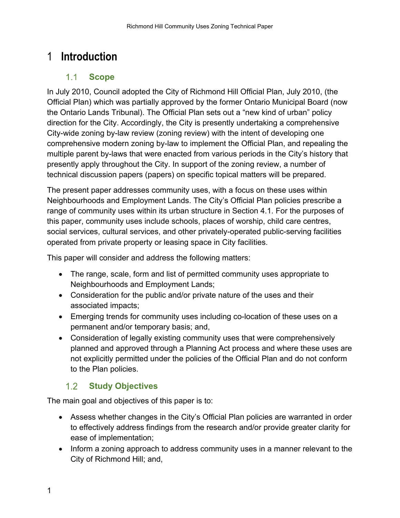## <span id="page-4-1"></span><span id="page-4-0"></span>1 **Introduction**

#### $1.1$ **Scope**

In July 2010, Council adopted the City of Richmond Hill Official Plan, July 2010, (the Official Plan) which was partially approved by the former Ontario Municipal Board (now the Ontario Lands Tribunal). The Official Plan sets out a "new kind of urban" policy direction for the City. Accordingly, the City is presently undertaking a comprehensive City-wide zoning by-law review (zoning review) with the intent of developing one comprehensive modern zoning by-law to implement the Official Plan, and repealing the multiple parent by-laws that were enacted from various periods in the City's history that presently apply throughout the City. In support of the zoning review, a number of technical discussion papers (papers) on specific topical matters will be prepared.

The present paper addresses community uses, with a focus on these uses within Neighbourhoods and Employment Lands. The City's Official Plan policies prescribe a range of community uses within its urban structure in Section 4.1. For the purposes of this paper, community uses include schools, places of worship, child care centres, social services, cultural services, and other privately-operated public-serving facilities operated from private property or leasing space in City facilities.

This paper will consider and address the following matters:

- The range, scale, form and list of permitted community uses appropriate to Neighbourhoods and Employment Lands;
- Consideration for the public and/or private nature of the uses and their associated impacts;
- Emerging trends for community uses including co-location of these uses on a permanent and/or temporary basis; and,
- Consideration of legally existing community uses that were comprehensively planned and approved through a Planning Act process and where these uses are not explicitly permitted under the policies of the Official Plan and do not conform to the Plan policies.

#### $1.2$ **Study Objectives**

<span id="page-4-2"></span>The main goal and objectives of this paper is to:

- Assess whether changes in the City's Official Plan policies are warranted in order to effectively address findings from the research and/or provide greater clarity for ease of implementation;
- Inform a zoning approach to address community uses in a manner relevant to the City of Richmond Hill; and,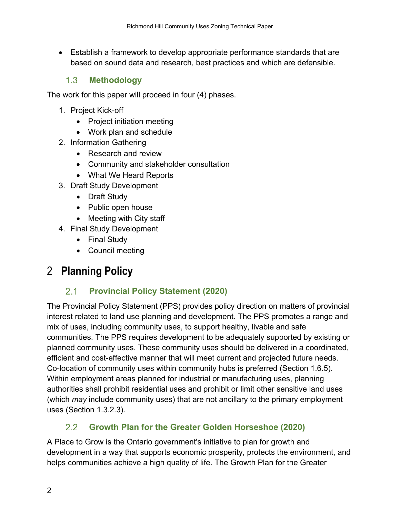• Establish a framework to develop appropriate performance standards that are based on sound data and research, best practices and which are defensible.

#### $1.3<sup>°</sup>$ **Methodology**

<span id="page-5-0"></span>The work for this paper will proceed in four (4) phases.

- 1. Project Kick-off
	- Project initiation meeting
	- Work plan and schedule
- 2. Information Gathering
	- Research and review
	- Community and stakeholder consultation
	- What We Heard Reports
- 3. Draft Study Development
	- Draft Study
	- Public open house
	- Meeting with City staff
- 4. Final Study Development
	- Final Study
	- Council meeting

## <span id="page-5-2"></span><span id="page-5-1"></span>2 **Planning Policy**

#### $2.1$ **Provincial Policy Statement (2020)**

The Provincial Policy Statement (PPS) provides policy direction on matters of provincial interest related to land use planning and development. The PPS promotes a range and mix of uses, including community uses, to support healthy, livable and safe communities. The PPS requires development to be adequately supported by existing or planned community uses. These community uses should be delivered in a coordinated, efficient and cost-effective manner that will meet current and projected future needs. Co-location of community uses within community hubs is preferred (Section 1.6.5). Within employment areas planned for industrial or manufacturing uses, planning authorities shall prohibit residential uses and prohibit or limit other sensitive land uses (which *may* include community uses) that are not ancillary to the primary employment uses (Section 1.3.2.3).

#### $2.2$ **Growth Plan for the Greater Golden Horseshoe (2020)**

<span id="page-5-3"></span>A Place to Grow is the Ontario government's initiative to plan for growth and development in a way that supports economic prosperity, protects the environment, and helps communities achieve a high quality of life. The Growth Plan for the Greater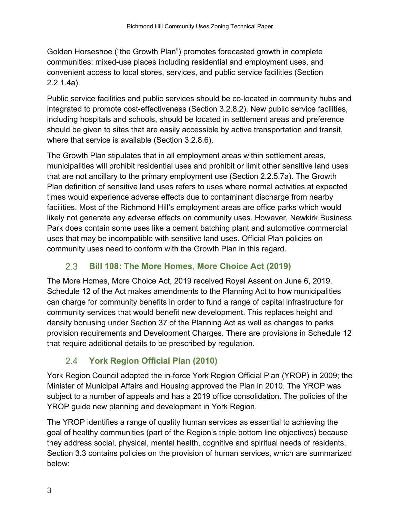Golden Horseshoe ("the Growth Plan") promotes forecasted growth in complete communities; mixed-use places including residential and employment uses, and convenient access to local stores, services, and public service facilities (Section 2.2.1.4a).

Public service facilities and public services should be co-located in community hubs and integrated to promote cost-effectiveness (Section 3.2.8.2). New public service facilities, including hospitals and schools, should be located in settlement areas and preference should be given to sites that are easily accessible by active transportation and transit, where that service is available (Section 3.2.8.6).

The Growth Plan stipulates that in all employment areas within settlement areas, municipalities will prohibit residential uses and prohibit or limit other sensitive land uses that are not ancillary to the primary employment use (Section 2.2.5.7a). The Growth Plan definition of sensitive land uses refers to uses where normal activities at expected times would experience adverse effects due to contaminant discharge from nearby facilities. Most of the Richmond Hill's employment areas are office parks which would likely not generate any adverse effects on community uses. However, Newkirk Business Park does contain some uses like a cement batching plant and automotive commercial uses that may be incompatible with sensitive land uses. Official Plan policies on community uses need to conform with the Growth Plan in this regard.

#### $2.3$ **Bill 108: The More Homes, More Choice Act (2019)**

<span id="page-6-0"></span>The More Homes, More Choice Act, 2019 received Royal Assent on June 6, 2019. Schedule 12 of the Act makes amendments to the Planning Act to how municipalities can charge for community benefits in order to fund a range of capital infrastructure for community services that would benefit new development. This replaces height and density bonusing under Section 37 of the Planning Act as well as changes to parks provision requirements and Development Charges. There are provisions in Schedule 12 that require additional details to be prescribed by regulation.

#### $24$ **York Region Official Plan (2010)**

<span id="page-6-1"></span>York Region Council adopted the in-force York Region Official Plan (YROP) in 2009; the Minister of Municipal Affairs and Housing approved the Plan in 2010. The YROP was subject to a number of appeals and has a 2019 office consolidation. The policies of the YROP guide new planning and development in York Region.

The YROP identifies a range of quality human services as essential to achieving the goal of healthy communities (part of the Region's triple bottom line objectives) because they address social, physical, mental health, cognitive and spiritual needs of residents. Section 3.3 contains policies on the provision of human services, which are summarized below: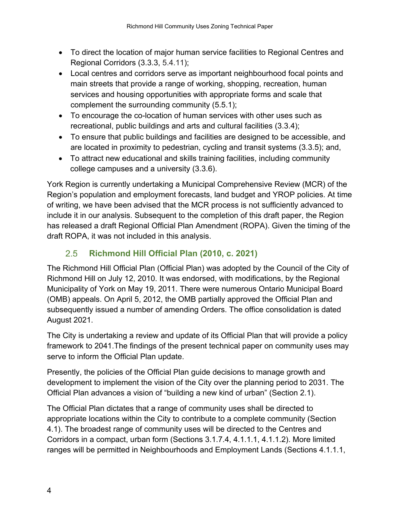- To direct the location of major human service facilities to Regional Centres and Regional Corridors (3.3.3, 5.4.11);
- Local centres and corridors serve as important neighbourhood focal points and main streets that provide a range of working, shopping, recreation, human services and housing opportunities with appropriate forms and scale that complement the surrounding community (5.5.1);
- To encourage the co-location of human services with other uses such as recreational, public buildings and arts and cultural facilities (3.3.4);
- To ensure that public buildings and facilities are designed to be accessible, and are located in proximity to pedestrian, cycling and transit systems (3.3.5); and,
- To attract new educational and skills training facilities, including community college campuses and a university (3.3.6).

York Region is currently undertaking a Municipal Comprehensive Review (MCR) of the Region's population and employment forecasts, land budget and YROP policies. At time of writing, we have been advised that the MCR process is not sufficiently advanced to include it in our analysis. Subsequent to the completion of this draft paper, the Region has released a draft Regional Official Plan Amendment (ROPA). Given the timing of the draft ROPA, it was not included in this analysis.

#### $2.5$ **Richmond Hill Official Plan (2010, c. 2021)**

<span id="page-7-0"></span>The Richmond Hill Official Plan (Official Plan) was adopted by the Council of the City of Richmond Hill on July 12, 2010. It was endorsed, with modifications, by the Regional Municipality of York on May 19, 2011. There were numerous Ontario Municipal Board (OMB) appeals. On April 5, 2012, the OMB partially approved the Official Plan and subsequently issued a number of amending Orders. The office consolidation is dated August 2021.

The City is undertaking a review and update of its Official Plan that will provide a policy framework to 2041.The findings of the present technical paper on community uses may serve to inform the Official Plan update.

Presently, the policies of the Official Plan guide decisions to manage growth and development to implement the vision of the City over the planning period to 2031. The Official Plan advances a vision of "building a new kind of urban" (Section 2.1).

The Official Plan dictates that a range of community uses shall be directed to appropriate locations within the City to contribute to a complete community (Section 4.1). The broadest range of community uses will be directed to the Centres and Corridors in a compact, urban form (Sections 3.1.7.4, 4.1.1.1, 4.1.1.2). More limited ranges will be permitted in Neighbourhoods and Employment Lands (Sections 4.1.1.1,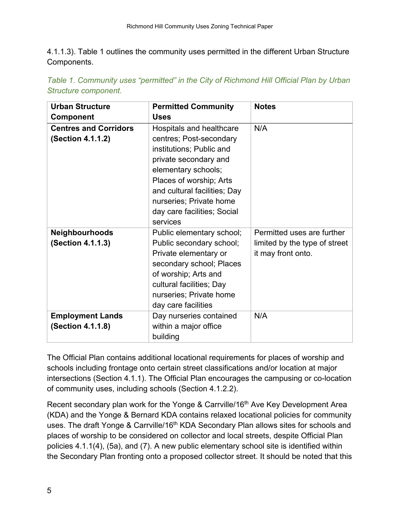4.1.1.3). Table 1 outlines the community uses permitted in the different Urban Structure Components.

| <b>Urban Structure</b>       | <b>Permitted Community</b>   | <b>Notes</b>                  |
|------------------------------|------------------------------|-------------------------------|
| <b>Component</b>             | <b>Uses</b>                  |                               |
| <b>Centres and Corridors</b> | Hospitals and healthcare     | N/A                           |
| (Section 4.1.1.2)            | centres; Post-secondary      |                               |
|                              | institutions; Public and     |                               |
|                              | private secondary and        |                               |
|                              | elementary schools;          |                               |
|                              | Places of worship; Arts      |                               |
|                              | and cultural facilities; Day |                               |
|                              | nurseries; Private home      |                               |
|                              | day care facilities; Social  |                               |
|                              | services                     |                               |
| <b>Neighbourhoods</b>        | Public elementary school;    | Permitted uses are further    |
| (Section 4.1.1.3)            | Public secondary school;     | limited by the type of street |
|                              | Private elementary or        | it may front onto.            |
|                              | secondary school; Places     |                               |
|                              | of worship; Arts and         |                               |
|                              | cultural facilities; Day     |                               |
|                              | nurseries; Private home      |                               |
|                              | day care facilities          |                               |
| <b>Employment Lands</b>      | Day nurseries contained      | N/A                           |
| (Section 4.1.1.8)            | within a major office        |                               |
|                              | building                     |                               |

*Table 1. Community uses "permitted" in the City of Richmond Hill Official Plan by Urban Structure component.*

The Official Plan contains additional locational requirements for places of worship and schools including frontage onto certain street classifications and/or location at major intersections (Section 4.1.1). The Official Plan encourages the campusing or co-location of community uses, including schools (Section 4.1.2.2).

Recent secondary plan work for the Yonge & Carrville/16<sup>th</sup> Ave Key Development Area (KDA) and the Yonge & Bernard KDA contains relaxed locational policies for community uses. The draft Yonge & Carrville/16<sup>th</sup> KDA Secondary Plan allows sites for schools and places of worship to be considered on collector and local streets, despite Official Plan policies 4.1.1(4), (5a), and (7). A new public elementary school site is identified within the Secondary Plan fronting onto a proposed collector street. It should be noted that this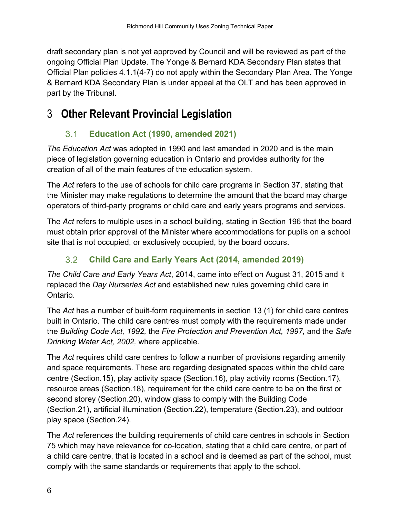draft secondary plan is not yet approved by Council and will be reviewed as part of the ongoing Official Plan Update. The Yonge & Bernard KDA Secondary Plan states that Official Plan policies 4.1.1(4-7) do not apply within the Secondary Plan Area. The Yonge & Bernard KDA Secondary Plan is under appeal at the OLT and has been approved in part by the Tribunal.

## <span id="page-9-1"></span><span id="page-9-0"></span>3 **Other Relevant Provincial Legislation**

#### $3.1$ **Education Act (1990, amended 2021)**

*The Education Act* was adopted in 1990 and last amended in 2020 and is the main piece of legislation governing education in Ontario and provides authority for the creation of all of the main features of the education system.

The *Act* refers to the use of schools for child care programs in Section 37, stating that the Minister may make regulations to determine the amount that the board may charge operators of third-party programs or child care and early years programs and services.

The *Act* refers to multiple uses in a school building, stating in Section 196 that the board must obtain prior approval of the Minister where accommodations for pupils on a school site that is not occupied, or exclusively occupied, by the board occurs.

#### $3.2$ **Child Care and Early Years Act (2014, amended 2019)**

<span id="page-9-2"></span>*The Child Care and Early Years Act*, 2014, came into effect on August 31, 2015 and it replaced the *Day Nurseries Act* and established new rules governing child care in Ontario.

The *Act* has a number of built-form requirements in section 13 (1) for child care centres built in Ontario. The child care centres must comply with the requirements made under the *Building Code Act, 1992,* the *Fire Protection and Prevention Act, 1997,* and the *Safe Drinking Water Act, 2002,* where applicable.

The *Act* requires child care centres to follow a number of provisions regarding amenity and space requirements. These are regarding designated spaces within the child care centre (Section.15), play activity space (Section.16), play activity rooms (Section.17), resource areas (Section.18), requirement for the child care centre to be on the first or second storey (Section.20), window glass to comply with the Building Code (Section.21), artificial illumination (Section.22), temperature (Section.23), and outdoor play space (Section.24).

The *Act* references the building requirements of child care centres in schools in Section 75 which may have relevance for co-location, stating that a child care centre, or part of a child care centre, that is located in a school and is deemed as part of the school, must comply with the same standards or requirements that apply to the school.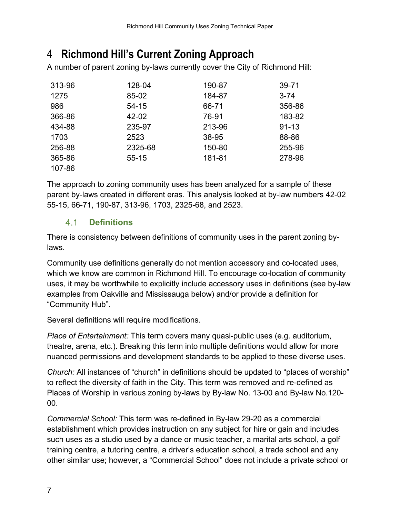## <span id="page-10-0"></span>4 **Richmond Hill's Current Zoning Approach**

A number of parent zoning by-laws currently cover the City of Richmond Hill:

| 313-96 | 128-04    | 190-87 | 39-71     |
|--------|-----------|--------|-----------|
| 1275   | 85-02     | 184-87 | $3 - 74$  |
| 986    | $54 - 15$ | 66-71  | 356-86    |
| 366-86 | 42-02     | 76-91  | 183-82    |
| 434-88 | 235-97    | 213-96 | $91 - 13$ |
| 1703   | 2523      | 38-95  | 88-86     |
| 256-88 | 2325-68   | 150-80 | 255-96    |
| 365-86 | $55 - 15$ | 181-81 | 278-96    |
| 107-86 |           |        |           |

The approach to zoning community uses has been analyzed for a sample of these parent by-laws created in different eras. This analysis looked at by-law numbers 42-02 55-15, 66-71, 190-87, 313-96, 1703, 2325-68, and 2523.

#### $4.1$ **Definitions**

<span id="page-10-1"></span>There is consistency between definitions of community uses in the parent zoning bylaws.

Community use definitions generally do not mention accessory and co-located uses, which we know are common in Richmond Hill. To encourage co-location of community uses, it may be worthwhile to explicitly include accessory uses in definitions (see by-law examples from Oakville and Mississauga below) and/or provide a definition for "Community Hub".

Several definitions will require modifications.

*Place of Entertainment:* This term covers many quasi-public uses (e.g. auditorium, theatre, arena, etc.). Breaking this term into multiple definitions would allow for more nuanced permissions and development standards to be applied to these diverse uses.

*Church:* All instances of "church" in definitions should be updated to "places of worship" to reflect the diversity of faith in the City. This term was removed and re-defined as Places of Worship in various zoning by-laws by By-law No. 13-00 and By-law No.120- 00.

*Commercial School:* This term was re-defined in By-law 29-20 as a commercial establishment which provides instruction on any subject for hire or gain and includes such uses as a studio used by a dance or music teacher, a marital arts school, a golf training centre, a tutoring centre, a driver's education school, a trade school and any other similar use; however, a "Commercial School" does not include a private school or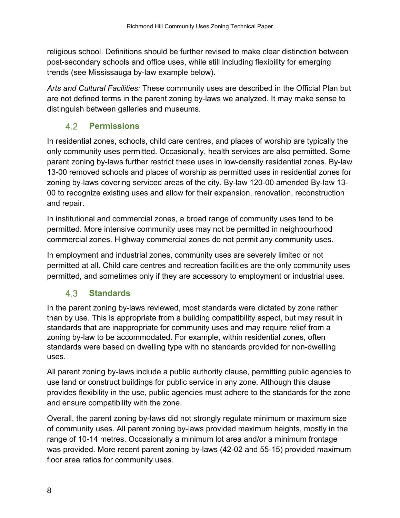religious school. Definitions should be further revised to make clear distinction between post-secondary schools and office uses, while still including flexibility for emerging trends (see Mississauga by-law example below).

*Arts and Cultural Facilities:* These community uses are described in the Official Plan but are not defined terms in the parent zoning by-laws we analyzed. It may make sense to distinguish between galleries and museums.

#### 4.2 **Permissions**

<span id="page-11-0"></span>In residential zones, schools, child care centres, and places of worship are typically the only community uses permitted. Occasionally, health services are also permitted. Some parent zoning by-laws further restrict these uses in low-density residential zones. By-law 13-00 removed schools and places of worship as permitted uses in residential zones for zoning by-laws covering serviced areas of the city. By-law 120-00 amended By-law 13- 00 to recognize existing uses and allow for their expansion, renovation, reconstruction and repair.

In institutional and commercial zones, a broad range of community uses tend to be permitted. More intensive community uses may not be permitted in neighbourhood commercial zones. Highway commercial zones do not permit any community uses.

In employment and industrial zones, community uses are severely limited or not permitted at all. Child care centres and recreation facilities are the only community uses permitted, and sometimes only if they are accessory to employment or industrial uses.

#### 4.3 **Standards**

<span id="page-11-1"></span>In the parent zoning by-laws reviewed, most standards were dictated by zone rather than by use. This is appropriate from a building compatibility aspect, but may result in standards that are inappropriate for community uses and may require relief from a zoning by-law to be accommodated. For example, within residential zones, often standards were based on dwelling type with no standards provided for non-dwelling uses.

All parent zoning by-laws include a public authority clause, permitting public agencies to use land or construct buildings for public service in any zone. Although this clause provides flexibility in the use, public agencies must adhere to the standards for the zone and ensure compatibility with the zone.

Overall, the parent zoning by-laws did not strongly regulate minimum or maximum size of community uses. All parent zoning by-laws provided maximum heights, mostly in the range of 10-14 metres. Occasionally a minimum lot area and/or a minimum frontage was provided. More recent parent zoning by-laws (42-02 and 55-15) provided maximum floor area ratios for community uses.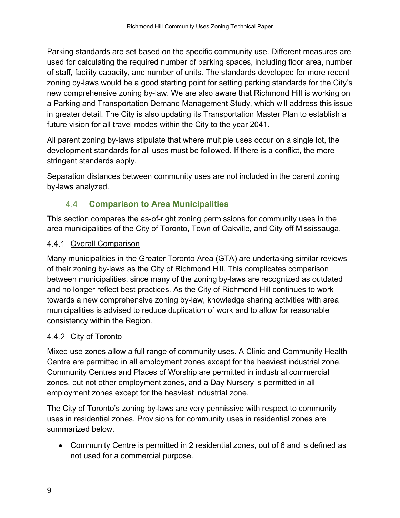Parking standards are set based on the specific community use. Different measures are used for calculating the required number of parking spaces, including floor area, number of staff, facility capacity, and number of units. The standards developed for more recent zoning by-laws would be a good starting point for setting parking standards for the City's new comprehensive zoning by-law. We are also aware that Richmond Hill is working on a Parking and Transportation Demand Management Study, which will address this issue in greater detail. The City is also updating its Transportation Master Plan to establish a future vision for all travel modes within the City to the year 2041.

All parent zoning by-laws stipulate that where multiple uses occur on a single lot, the development standards for all uses must be followed. If there is a conflict, the more stringent standards apply.

Separation distances between community uses are not included in the parent zoning by-laws analyzed.

#### $4.4$ **Comparison to Area Municipalities**

<span id="page-12-0"></span>This section compares the as-of-right zoning permissions for community uses in the area municipalities of the City of Toronto, Town of Oakville, and City off Mississauga.

### <span id="page-12-1"></span>4.4.1 Overall Comparison

Many municipalities in the Greater Toronto Area (GTA) are undertaking similar reviews of their zoning by-laws as the City of Richmond Hill. This complicates comparison between municipalities, since many of the zoning by-laws are recognized as outdated and no longer reflect best practices. As the City of Richmond Hill continues to work towards a new comprehensive zoning by-law, knowledge sharing activities with area municipalities is advised to reduce duplication of work and to allow for reasonable consistency within the Region.

### <span id="page-12-2"></span>4.4.2 City of Toronto

Mixed use zones allow a full range of community uses. A Clinic and Community Health Centre are permitted in all employment zones except for the heaviest industrial zone. Community Centres and Places of Worship are permitted in industrial commercial zones, but not other employment zones, and a Day Nursery is permitted in all employment zones except for the heaviest industrial zone.

The City of Toronto's zoning by-laws are very permissive with respect to community uses in residential zones. Provisions for community uses in residential zones are summarized below.

• Community Centre is permitted in 2 residential zones, out of 6 and is defined as not used for a commercial purpose.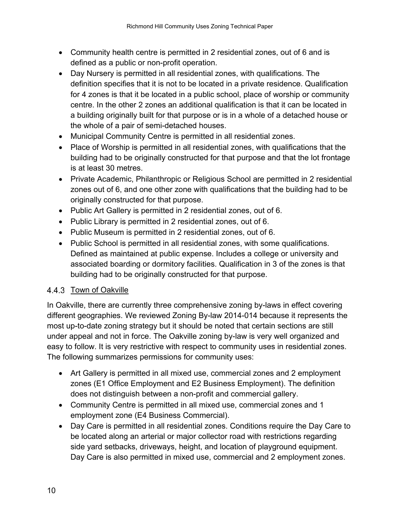- Community health centre is permitted in 2 residential zones, out of 6 and is defined as a public or non-profit operation.
- Day Nursery is permitted in all residential zones, with qualifications. The definition specifies that it is not to be located in a private residence. Qualification for 4 zones is that it be located in a public school, place of worship or community centre. In the other 2 zones an additional qualification is that it can be located in a building originally built for that purpose or is in a whole of a detached house or the whole of a pair of semi-detached houses.
- Municipal Community Centre is permitted in all residential zones.
- Place of Worship is permitted in all residential zones, with qualifications that the building had to be originally constructed for that purpose and that the lot frontage is at least 30 metres.
- Private Academic, Philanthropic or Religious School are permitted in 2 residential zones out of 6, and one other zone with qualifications that the building had to be originally constructed for that purpose.
- Public Art Gallery is permitted in 2 residential zones, out of 6.
- Public Library is permitted in 2 residential zones, out of 6.
- Public Museum is permitted in 2 residential zones, out of 6.
- Public School is permitted in all residential zones, with some qualifications. Defined as maintained at public expense. Includes a college or university and associated boarding or dormitory facilities. Qualification in 3 of the zones is that building had to be originally constructed for that purpose.

### <span id="page-13-0"></span>4.4.3 Town of Oakville

In Oakville, there are currently three comprehensive zoning by-laws in effect covering different geographies. We reviewed Zoning By-law 2014-014 because it represents the most up-to-date zoning strategy but it should be noted that certain sections are still under appeal and not in force. The Oakville zoning by-law is very well organized and easy to follow. It is very restrictive with respect to community uses in residential zones. The following summarizes permissions for community uses:

- Art Gallery is permitted in all mixed use, commercial zones and 2 employment zones (E1 Office Employment and E2 Business Employment). The definition does not distinguish between a non-profit and commercial gallery.
- Community Centre is permitted in all mixed use, commercial zones and 1 employment zone (E4 Business Commercial).
- Day Care is permitted in all residential zones. Conditions require the Day Care to be located along an arterial or major collector road with restrictions regarding side yard setbacks, driveways, height, and location of playground equipment. Day Care is also permitted in mixed use, commercial and 2 employment zones.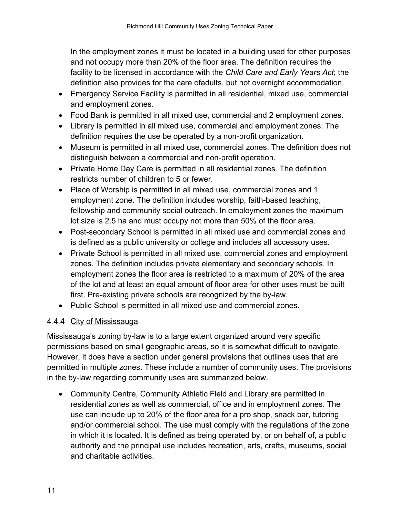In the employment zones it must be located in a building used for other purposes and not occupy more than 20% of the floor area. The definition requires the facility to be licensed in accordance with the *Child Care and Early Years Act*; the definition also provides for the care ofadults, but not overnight accommodation.

- Emergency Service Facility is permitted in all residential, mixed use, commercial and employment zones.
- Food Bank is permitted in all mixed use, commercial and 2 employment zones.
- Library is permitted in all mixed use, commercial and employment zones. The definition requires the use be operated by a non-profit organization.
- Museum is permitted in all mixed use, commercial zones. The definition does not distinguish between a commercial and non-profit operation.
- Private Home Day Care is permitted in all residential zones. The definition restricts number of children to 5 or fewer.
- Place of Worship is permitted in all mixed use, commercial zones and 1 employment zone. The definition includes worship, faith-based teaching, fellowship and community social outreach. In employment zones the maximum lot size is 2.5 ha and must occupy not more than 50% of the floor area.
- Post-secondary School is permitted in all mixed use and commercial zones and is defined as a public university or college and includes all accessory uses.
- Private School is permitted in all mixed use, commercial zones and employment zones. The definition includes private elementary and secondary schools. In employment zones the floor area is restricted to a maximum of 20% of the area of the lot and at least an equal amount of floor area for other uses must be built first. Pre-existing private schools are recognized by the by-law.
- Public School is permitted in all mixed use and commercial zones.

### <span id="page-14-0"></span>4.4.4 City of Mississauga

Mississauga's zoning by-law is to a large extent organized around very specific permissions based on small geographic areas, so it is somewhat difficult to navigate. However, it does have a section under general provisions that outlines uses that are permitted in multiple zones. These include a number of community uses. The provisions in the by-law regarding community uses are summarized below.

• Community Centre, Community Athletic Field and Library are permitted in residential zones as well as commercial, office and in employment zones. The use can include up to 20% of the floor area for a pro shop, snack bar, tutoring and/or commercial school. The use must comply with the regulations of the zone in which it is located. It is defined as being operated by, or on behalf of, a public authority and the principal use includes recreation, arts, crafts, museums, social and charitable activities.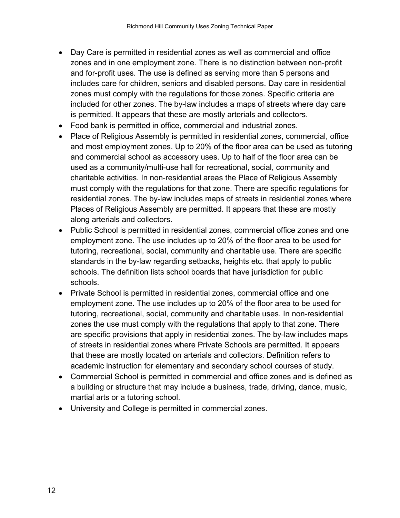- Day Care is permitted in residential zones as well as commercial and office zones and in one employment zone. There is no distinction between non-profit and for-profit uses. The use is defined as serving more than 5 persons and includes care for children, seniors and disabled persons. Day care in residential zones must comply with the regulations for those zones. Specific criteria are included for other zones. The by-law includes a maps of streets where day care is permitted. It appears that these are mostly arterials and collectors.
- Food bank is permitted in office, commercial and industrial zones.
- Place of Religious Assembly is permitted in residential zones, commercial, office and most employment zones. Up to 20% of the floor area can be used as tutoring and commercial school as accessory uses. Up to half of the floor area can be used as a community/multi-use hall for recreational, social, community and charitable activities. In non-residential areas the Place of Religious Assembly must comply with the regulations for that zone. There are specific regulations for residential zones. The by-law includes maps of streets in residential zones where Places of Religious Assembly are permitted. It appears that these are mostly along arterials and collectors.
- Public School is permitted in residential zones, commercial office zones and one employment zone. The use includes up to 20% of the floor area to be used for tutoring, recreational, social, community and charitable use. There are specific standards in the by-law regarding setbacks, heights etc. that apply to public schools. The definition lists school boards that have jurisdiction for public schools.
- Private School is permitted in residential zones, commercial office and one employment zone. The use includes up to 20% of the floor area to be used for tutoring, recreational, social, community and charitable uses. In non-residential zones the use must comply with the regulations that apply to that zone. There are specific provisions that apply in residential zones. The by-law includes maps of streets in residential zones where Private Schools are permitted. It appears that these are mostly located on arterials and collectors. Definition refers to academic instruction for elementary and secondary school courses of study.
- Commercial School is permitted in commercial and office zones and is defined as a building or structure that may include a business, trade, driving, dance, music, martial arts or a tutoring school.
- University and College is permitted in commercial zones.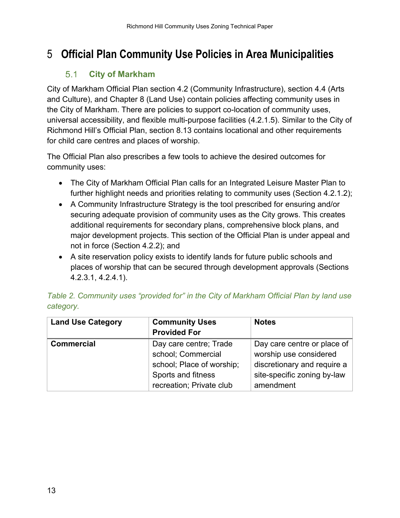## <span id="page-16-1"></span><span id="page-16-0"></span>5 **Official Plan Community Use Policies in Area Municipalities**

#### **City of Markham**  $5.1$

City of Markham Official Plan section 4.2 (Community Infrastructure), section 4.4 (Arts and Culture), and Chapter 8 (Land Use) contain policies affecting community uses in the City of Markham. There are policies to support co-location of community uses, universal accessibility, and flexible multi-purpose facilities (4.2.1.5). Similar to the City of Richmond Hill's Official Plan, section 8.13 contains locational and other requirements for child care centres and places of worship.

The Official Plan also prescribes a few tools to achieve the desired outcomes for community uses:

- The City of Markham Official Plan calls for an Integrated Leisure Master Plan to further highlight needs and priorities relating to community uses (Section 4.2.1.2);
- A Community Infrastructure Strategy is the tool prescribed for ensuring and/or securing adequate provision of community uses as the City grows. This creates additional requirements for secondary plans, comprehensive block plans, and major development projects. This section of the Official Plan is under appeal and not in force (Section 4.2.2); and
- A site reservation policy exists to identify lands for future public schools and places of worship that can be secured through development approvals (Sections 4.2.3.1, 4.2.4.1).

| <b>Land Use Category</b> | <b>Community Uses</b><br><b>Provided For</b>                              | <b>Notes</b>                                                                         |
|--------------------------|---------------------------------------------------------------------------|--------------------------------------------------------------------------------------|
| <b>Commercial</b>        | Day care centre; Trade<br>school; Commercial<br>school; Place of worship; | Day care centre or place of<br>worship use considered<br>discretionary and require a |
|                          | Sports and fitness<br>recreation; Private club                            | site-specific zoning by-law<br>amendment                                             |

|           | Table 2. Community uses "provided for" in the City of Markham Official Plan by land use |  |  |  |  |  |  |
|-----------|-----------------------------------------------------------------------------------------|--|--|--|--|--|--|
| category. |                                                                                         |  |  |  |  |  |  |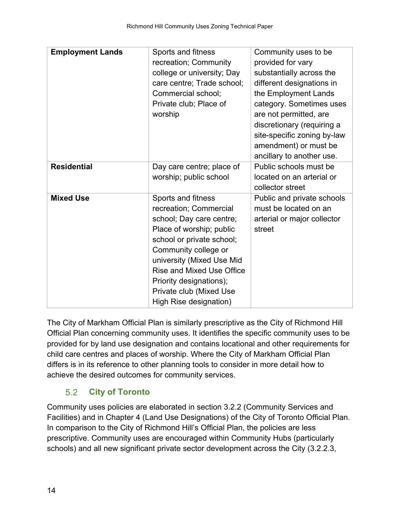| <b>Employment Lands</b> | Sports and fitness         | Community uses to be        |
|-------------------------|----------------------------|-----------------------------|
|                         | recreation; Community      | provided for vary           |
|                         | college or university; Day | substantially across the    |
|                         | care centre; Trade school; | different designations in   |
|                         | Commercial school;         | the Employment Lands        |
|                         | Private club; Place of     | category. Sometimes uses    |
|                         | worship                    | are not permitted, are      |
|                         |                            | discretionary (requiring a  |
|                         |                            | site-specific zoning by-law |
|                         |                            | amendment) or must be       |
|                         |                            | ancillary to another use.   |
| <b>Residential</b>      | Day care centre; place of  | Public schools must be      |
|                         | worship; public school     | located on an arterial or   |
|                         |                            | collector street            |
| <b>Mixed Use</b>        | Sports and fitness         | Public and private schools  |
|                         | recreation; Commercial     | must be located on an       |
|                         | school; Day care centre;   | arterial or major collector |
|                         | Place of worship; public   | street                      |
|                         | school or private school;  |                             |
|                         | Community college or       |                             |
|                         | university (Mixed Use Mid  |                             |
|                         | Rise and Mixed Use Office  |                             |
|                         | Priority designations);    |                             |
|                         | Private club (Mixed Use    |                             |
|                         | High Rise designation)     |                             |

The City of Markham Official Plan is similarly prescriptive as the City of Richmond Hill Official Plan concerning community uses. It identifies the specific community uses to be provided for by land use designation and contains locational and other requirements for child care centres and places of worship. Where the City of Markham Official Plan differs is in its reference to other planning tools to consider in more detail how to achieve the desired outcomes for community services.

#### $5.2$ **City of Toronto**

<span id="page-17-0"></span>Community uses policies are elaborated in section 3.2.2 (Community Services and Facilities) and in Chapter 4 (Land Use Designations) of the City of Toronto Official Plan. In comparison to the City of Richmond Hill's Official Plan, the policies are less prescriptive. Community uses are encouraged within Community Hubs (particularly schools) and all new significant private sector development across the City (3.2.2.3,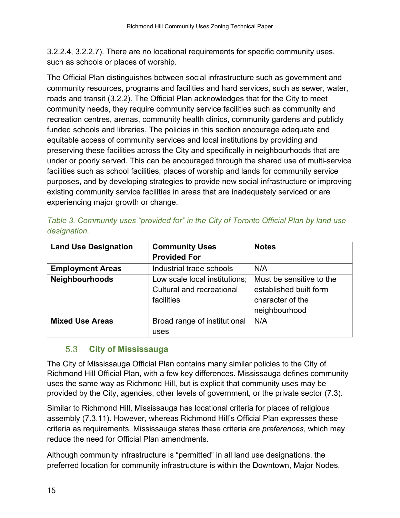3.2.2.4, 3.2.2.7). There are no locational requirements for specific community uses, such as schools or places of worship.

The Official Plan distinguishes between social infrastructure such as government and community resources, programs and facilities and hard services, such as sewer, water, roads and transit (3.2.2). The Official Plan acknowledges that for the City to meet community needs, they require community service facilities such as community and recreation centres, arenas, community health clinics, community gardens and publicly funded schools and libraries. The policies in this section encourage adequate and equitable access of community services and local institutions by providing and preserving these facilities across the City and specifically in neighbourhoods that are under or poorly served. This can be encouraged through the shared use of multi-service facilities such as school facilities, places of worship and lands for community service purposes, and by developing strategies to provide new social infrastructure or improving existing community service facilities in areas that are inadequately serviced or are experiencing major growth or change.

| <b>Land Use Designation</b> | <b>Community Uses</b>                                                    | <b>Notes</b>                                                                            |
|-----------------------------|--------------------------------------------------------------------------|-----------------------------------------------------------------------------------------|
|                             | <b>Provided For</b>                                                      |                                                                                         |
| <b>Employment Areas</b>     | Industrial trade schools                                                 | N/A                                                                                     |
| Neighbourhoods              | Low scale local institutions;<br>Cultural and recreational<br>facilities | Must be sensitive to the<br>established built form<br>character of the<br>neighbourhood |
| <b>Mixed Use Areas</b>      | Broad range of institutional<br>uses                                     | N/A                                                                                     |

|              | Table 3. Community uses "provided for" in the City of Toronto Official Plan by land use |  |  |  |  |  |  |
|--------------|-----------------------------------------------------------------------------------------|--|--|--|--|--|--|
| designation. |                                                                                         |  |  |  |  |  |  |

#### <span id="page-18-0"></span> $5.3$ **City of Mississauga**

The City of Mississauga Official Plan contains many similar policies to the City of Richmond Hill Official Plan, with a few key differences. Mississauga defines community uses the same way as Richmond Hill, but is explicit that community uses may be provided by the City, agencies, other levels of government, or the private sector (7.3).

Similar to Richmond Hill, Mississauga has locational criteria for places of religious assembly (7.3.11). However, whereas Richmond Hill's Official Plan expresses these criteria as requirements, Mississauga states these criteria are *preferences*, which may reduce the need for Official Plan amendments.

Although community infrastructure is "permitted" in all land use designations, the preferred location for community infrastructure is within the Downtown, Major Nodes,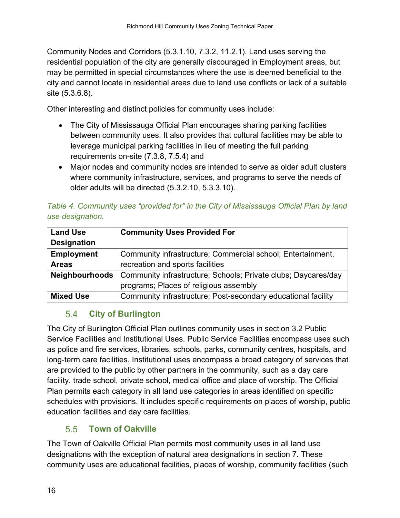Community Nodes and Corridors (5.3.1.10, 7.3.2, 11.2.1). Land uses serving the residential population of the city are generally discouraged in Employment areas, but may be permitted in special circumstances where the use is deemed beneficial to the city and cannot locate in residential areas due to land use conflicts or lack of a suitable site (5.3.6.8).

Other interesting and distinct policies for community uses include:

- The City of Mississauga Official Plan encourages sharing parking facilities between community uses. It also provides that cultural facilities may be able to leverage municipal parking facilities in lieu of meeting the full parking requirements on-site (7.3.8, 7.5.4) and
- Major nodes and community nodes are intended to serve as older adult clusters where community infrastructure, services, and programs to serve the needs of older adults will be directed (5.3.2.10, 5.3.3.10).

|                  |  |  | Table 4. Community uses "provided for" in the City of Mississauga Official Plan by land |  |  |
|------------------|--|--|-----------------------------------------------------------------------------------------|--|--|
| use designation. |  |  |                                                                                         |  |  |

| <b>Land Use</b>       | <b>Community Uses Provided For</b>                             |  |  |  |  |  |  |
|-----------------------|----------------------------------------------------------------|--|--|--|--|--|--|
| <b>Designation</b>    |                                                                |  |  |  |  |  |  |
| <b>Employment</b>     | Community infrastructure; Commercial school; Entertainment,    |  |  |  |  |  |  |
| <b>Areas</b>          | recreation and sports facilities                               |  |  |  |  |  |  |
| <b>Neighbourhoods</b> | Community infrastructure; Schools; Private clubs; Daycares/day |  |  |  |  |  |  |
|                       | programs; Places of religious assembly                         |  |  |  |  |  |  |
| <b>Mixed Use</b>      | Community infrastructure; Post-secondary educational facility  |  |  |  |  |  |  |

#### <span id="page-19-0"></span> $5.4$ **City of Burlington**

The City of Burlington Official Plan outlines community uses in section 3.2 Public Service Facilities and Institutional Uses. Public Service Facilities encompass uses such as police and fire services, libraries, schools, parks, community centres, hospitals, and long-term care facilities. Institutional uses encompass a broad category of services that are provided to the public by other partners in the community, such as a day care facility, trade school, private school, medical office and place of worship. The Official Plan permits each category in all land use categories in areas identified on specific schedules with provisions. It includes specific requirements on places of worship, public education facilities and day care facilities.

#### $5.5$ **Town of Oakville**

<span id="page-19-1"></span>The Town of Oakville Official Plan permits most community uses in all land use designations with the exception of natural area designations in section 7. These community uses are educational facilities, places of worship, community facilities (such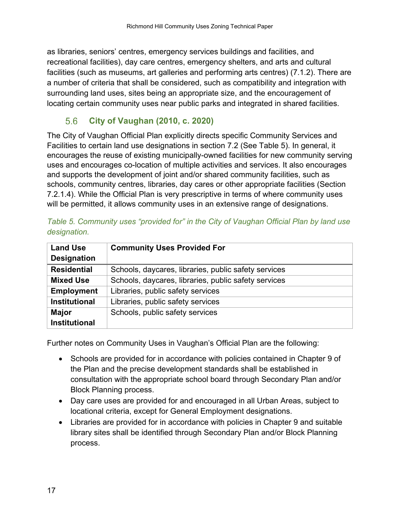as libraries, seniors' centres, emergency services buildings and facilities, and recreational facilities), day care centres, emergency shelters, and arts and cultural facilities (such as museums, art galleries and performing arts centres) (7.1.2). There are a number of criteria that shall be considered, such as compatibility and integration with surrounding land uses, sites being an appropriate size, and the encouragement of locating certain community uses near public parks and integrated in shared facilities.

#### $5.6$ **City of Vaughan (2010, c. 2020)**

<span id="page-20-0"></span>The City of Vaughan Official Plan explicitly directs specific Community Services and Facilities to certain land use designations in section 7.2 (See Table 5). In general, it encourages the reuse of existing municipally-owned facilities for new community serving uses and encourages co-location of multiple activities and services. It also encourages and supports the development of joint and/or shared community facilities, such as schools, community centres, libraries, day cares or other appropriate facilities (Section 7.2.1.4). While the Official Plan is very prescriptive in terms of where community uses will be permitted, it allows community uses in an extensive range of designations.

| <b>Land Use</b>      | <b>Community Uses Provided For</b>                   |  |  |  |  |
|----------------------|------------------------------------------------------|--|--|--|--|
| <b>Designation</b>   |                                                      |  |  |  |  |
| <b>Residential</b>   | Schools, daycares, libraries, public safety services |  |  |  |  |
| <b>Mixed Use</b>     | Schools, daycares, libraries, public safety services |  |  |  |  |
| <b>Employment</b>    | Libraries, public safety services                    |  |  |  |  |
| <b>Institutional</b> | Libraries, public safety services                    |  |  |  |  |
| <b>Major</b>         | Schools, public safety services                      |  |  |  |  |
| <b>Institutional</b> |                                                      |  |  |  |  |

| Table 5. Community uses "provided for" in the City of Vaughan Official Plan by land use |  |  |  |  |
|-----------------------------------------------------------------------------------------|--|--|--|--|
| designation.                                                                            |  |  |  |  |

Further notes on Community Uses in Vaughan's Official Plan are the following:

- Schools are provided for in accordance with policies contained in Chapter 9 of the Plan and the precise development standards shall be established in consultation with the appropriate school board through Secondary Plan and/or Block Planning process.
- Day care uses are provided for and encouraged in all Urban Areas, subject to locational criteria, except for General Employment designations.
- Libraries are provided for in accordance with policies in Chapter 9 and suitable library sites shall be identified through Secondary Plan and/or Block Planning process.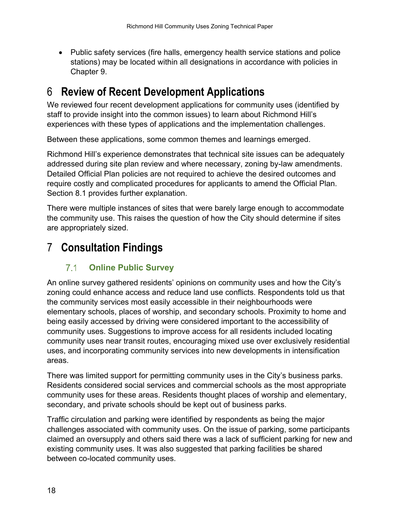• Public safety services (fire halls, emergency health service stations and police stations) may be located within all designations in accordance with policies in Chapter 9.

## <span id="page-21-0"></span>6 **Review of Recent Development Applications**

We reviewed four recent development applications for community uses (identified by staff to provide insight into the common issues) to learn about Richmond Hill's experiences with these types of applications and the implementation challenges.

Between these applications, some common themes and learnings emerged.

Richmond Hill's experience demonstrates that technical site issues can be adequately addressed during site plan review and where necessary, zoning by-law amendments. Detailed Official Plan policies are not required to achieve the desired outcomes and require costly and complicated procedures for applicants to amend the Official Plan. Section 8.1 provides further explanation.

There were multiple instances of sites that were barely large enough to accommodate the community use. This raises the question of how the City should determine if sites are appropriately sized.

## <span id="page-21-2"></span><span id="page-21-1"></span>7 **Consultation Findings**

#### $7.1$ **Online Public Survey**

An online survey gathered residents' opinions on community uses and how the City's zoning could enhance access and reduce land use conflicts. Respondents told us that the community services most easily accessible in their neighbourhoods were elementary schools, places of worship, and secondary schools. Proximity to home and being easily accessed by driving were considered important to the accessibility of community uses. Suggestions to improve access for all residents included locating community uses near transit routes, encouraging mixed use over exclusively residential uses, and incorporating community services into new developments in intensification areas.

There was limited support for permitting community uses in the City's business parks. Residents considered social services and commercial schools as the most appropriate community uses for these areas. Residents thought places of worship and elementary, secondary, and private schools should be kept out of business parks.

Traffic circulation and parking were identified by respondents as being the major challenges associated with community uses. On the issue of parking, some participants claimed an oversupply and others said there was a lack of sufficient parking for new and existing community uses. It was also suggested that parking facilities be shared between co-located community uses.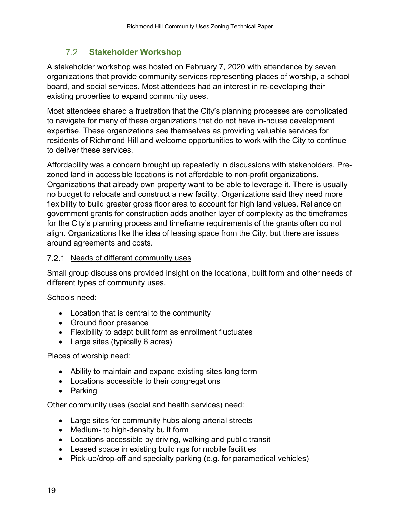#### 72 **Stakeholder Workshop**

<span id="page-22-0"></span>A stakeholder workshop was hosted on February 7, 2020 with attendance by seven organizations that provide community services representing places of worship, a school board, and social services. Most attendees had an interest in re-developing their existing properties to expand community uses.

Most attendees shared a frustration that the City's planning processes are complicated to navigate for many of these organizations that do not have in-house development expertise. These organizations see themselves as providing valuable services for residents of Richmond Hill and welcome opportunities to work with the City to continue to deliver these services.

Affordability was a concern brought up repeatedly in discussions with stakeholders. Prezoned land in accessible locations is not affordable to non-profit organizations. Organizations that already own property want to be able to leverage it. There is usually no budget to relocate and construct a new facility. Organizations said they need more flexibility to build greater gross floor area to account for high land values. Reliance on government grants for construction adds another layer of complexity as the timeframes for the City's planning process and timeframe requirements of the grants often do not align. Organizations like the idea of leasing space from the City, but there are issues around agreements and costs.

#### <span id="page-22-1"></span>7.2.1 Needs of different community uses

Small group discussions provided insight on the locational, built form and other needs of different types of community uses.

Schools need:

- Location that is central to the community
- Ground floor presence
- Flexibility to adapt built form as enrollment fluctuates
- Large sites (typically 6 acres)

Places of worship need:

- Ability to maintain and expand existing sites long term
- Locations accessible to their congregations
- Parking

Other community uses (social and health services) need:

- Large sites for community hubs along arterial streets
- Medium- to high-density built form
- Locations accessible by driving, walking and public transit
- Leased space in existing buildings for mobile facilities
- Pick-up/drop-off and specialty parking (e.g. for paramedical vehicles)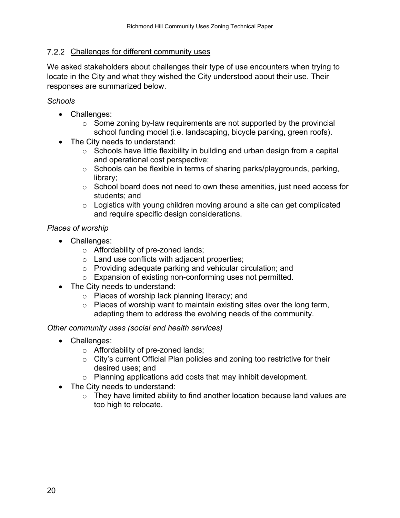#### <span id="page-23-0"></span>7.2.2 Challenges for different community uses

We asked stakeholders about challenges their type of use encounters when trying to locate in the City and what they wished the City understood about their use. Their responses are summarized below.

#### *Schools*

- Challenges:
	- $\circ$  Some zoning by-law requirements are not supported by the provincial school funding model (i.e. landscaping, bicycle parking, green roofs).
- The City needs to understand:
	- $\circ$  Schools have little flexibility in building and urban design from a capital and operational cost perspective;
	- o Schools can be flexible in terms of sharing parks/playgrounds, parking, library;
	- $\circ$  School board does not need to own these amenities, just need access for students; and
	- $\circ$  Logistics with young children moving around a site can get complicated and require specific design considerations.

#### *Places of worship*

- Challenges:
	- o Affordability of pre-zoned lands;
	- o Land use conflicts with adjacent properties;
	- o Providing adequate parking and vehicular circulation; and
	- o Expansion of existing non-conforming uses not permitted.
- The City needs to understand:
	- o Places of worship lack planning literacy; and
	- $\circ$  Places of worship want to maintain existing sites over the long term, adapting them to address the evolving needs of the community.

#### *Other community uses (social and health services)*

- Challenges:
	- o Affordability of pre-zoned lands;
	- o City's current Official Plan policies and zoning too restrictive for their desired uses; and
	- o Planning applications add costs that may inhibit development.
- The City needs to understand:
	- $\circ$  They have limited ability to find another location because land values are too high to relocate.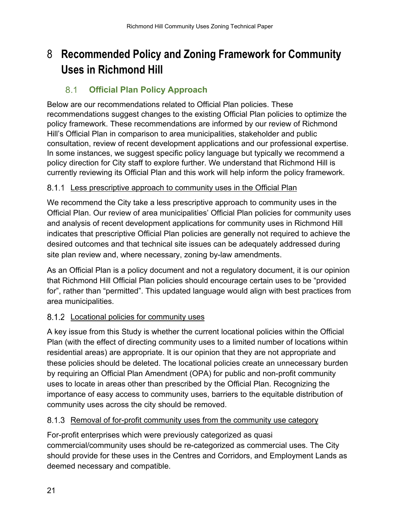## <span id="page-24-0"></span>8 **Recommended Policy and Zoning Framework for Community Uses in Richmond Hill**

#### <span id="page-24-1"></span> $8.1$ **Official Plan Policy Approach**

Below are our recommendations related to Official Plan policies. These recommendations suggest changes to the existing Official Plan policies to optimize the policy framework. These recommendations are informed by our review of Richmond Hill's Official Plan in comparison to area municipalities, stakeholder and public consultation, review of recent development applications and our professional expertise. In some instances, we suggest specific policy language but typically we recommend a policy direction for City staff to explore further. We understand that Richmond Hill is currently reviewing its Official Plan and this work will help inform the policy framework.

### <span id="page-24-2"></span>8.1.1 Less prescriptive approach to community uses in the Official Plan

We recommend the City take a less prescriptive approach to community uses in the Official Plan. Our review of area municipalities' Official Plan policies for community uses and analysis of recent development applications for community uses in Richmond Hill indicates that prescriptive Official Plan policies are generally not required to achieve the desired outcomes and that technical site issues can be adequately addressed during site plan review and, where necessary, zoning by-law amendments.

As an Official Plan is a policy document and not a regulatory document, it is our opinion that Richmond Hill Official Plan policies should encourage certain uses to be "provided for", rather than "permitted". This updated language would align with best practices from area municipalities.

### <span id="page-24-3"></span>8.1.2 Locational policies for community uses

A key issue from this Study is whether the current locational policies within the Official Plan (with the effect of directing community uses to a limited number of locations within residential areas) are appropriate. It is our opinion that they are not appropriate and these policies should be deleted. The locational policies create an unnecessary burden by requiring an Official Plan Amendment (OPA) for public and non-profit community uses to locate in areas other than prescribed by the Official Plan. Recognizing the importance of easy access to community uses, barriers to the equitable distribution of community uses across the city should be removed.

### <span id="page-24-4"></span>8.1.3 Removal of for-profit community uses from the community use category

For-profit enterprises which were previously categorized as quasi commercial/community uses should be re-categorized as commercial uses. The City should provide for these uses in the Centres and Corridors, and Employment Lands as deemed necessary and compatible.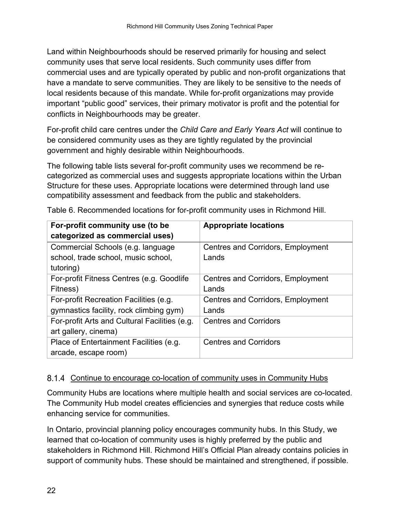Land within Neighbourhoods should be reserved primarily for housing and select community uses that serve local residents. Such community uses differ from commercial uses and are typically operated by public and non-profit organizations that have a mandate to serve communities. They are likely to be sensitive to the needs of local residents because of this mandate. While for-profit organizations may provide important "public good" services, their primary motivator is profit and the potential for conflicts in Neighbourhoods may be greater.

For-profit child care centres under the *Child Care and Early Years Act* will continue to be considered community uses as they are tightly regulated by the provincial government and highly desirable within Neighbourhoods.

The following table lists several for-profit community uses we recommend be recategorized as commercial uses and suggests appropriate locations within the Urban Structure for these uses. Appropriate locations were determined through land use compatibility assessment and feedback from the public and stakeholders.

| For-profit community use (to be               | <b>Appropriate locations</b>             |
|-----------------------------------------------|------------------------------------------|
| categorized as commercial uses)               |                                          |
| Commercial Schools (e.g. language             | <b>Centres and Corridors, Employment</b> |
| school, trade school, music school,           | Lands                                    |
| tutoring)                                     |                                          |
| For-profit Fitness Centres (e.g. Goodlife     | <b>Centres and Corridors, Employment</b> |
| Fitness)                                      | Lands                                    |
| For-profit Recreation Facilities (e.g.        | <b>Centres and Corridors, Employment</b> |
| gymnastics facility, rock climbing gym)       | Lands                                    |
| For-profit Arts and Cultural Facilities (e.g. | <b>Centres and Corridors</b>             |
| art gallery, cinema)                          |                                          |
| Place of Entertainment Facilities (e.g.       | <b>Centres and Corridors</b>             |
| arcade, escape room)                          |                                          |

Table 6. Recommended locations for for-profit community uses in Richmond Hill.

### <span id="page-25-0"></span>8.1.4 Continue to encourage co-location of community uses in Community Hubs

Community Hubs are locations where multiple health and social services are co-located. The Community Hub model creates efficiencies and synergies that reduce costs while enhancing service for communities.

In Ontario, provincial planning policy encourages community hubs. In this Study, we learned that co-location of community uses is highly preferred by the public and stakeholders in Richmond Hill. Richmond Hill's Official Plan already contains policies in support of community hubs. These should be maintained and strengthened, if possible.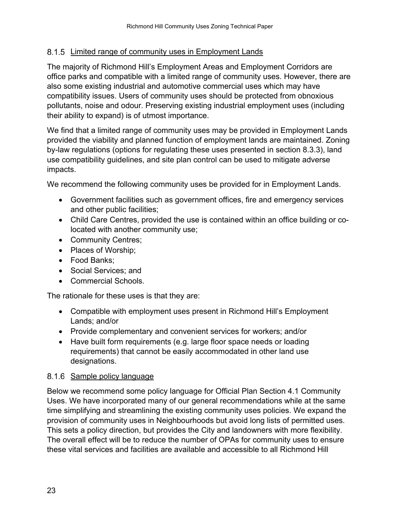#### <span id="page-26-0"></span>8.1.5 Limited range of community uses in Employment Lands

The majority of Richmond Hill's Employment Areas and Employment Corridors are office parks and compatible with a limited range of community uses. However, there are also some existing industrial and automotive commercial uses which may have compatibility issues. Users of community uses should be protected from obnoxious pollutants, noise and odour. Preserving existing industrial employment uses (including their ability to expand) is of utmost importance.

We find that a limited range of community uses may be provided in Employment Lands provided the viability and planned function of employment lands are maintained. Zoning by-law regulations (options for regulating these uses presented in section 8.3.3), land use compatibility guidelines, and site plan control can be used to mitigate adverse impacts.

We recommend the following community uses be provided for in Employment Lands.

- Government facilities such as government offices, fire and emergency services and other public facilities;
- Child Care Centres, provided the use is contained within an office building or colocated with another community use;
- Community Centres;
- Places of Worship;
- Food Banks;
- Social Services; and
- Commercial Schools.

The rationale for these uses is that they are:

- Compatible with employment uses present in Richmond Hill's Employment Lands; and/or
- Provide complementary and convenient services for workers; and/or
- Have built form requirements (e.g. large floor space needs or loading requirements) that cannot be easily accommodated in other land use designations.

#### <span id="page-26-1"></span>8.1.6 Sample policy language

Below we recommend some policy language for Official Plan Section 4.1 Community Uses. We have incorporated many of our general recommendations while at the same time simplifying and streamlining the existing community uses policies. We expand the provision of community uses in Neighbourhoods but avoid long lists of permitted uses. This sets a policy direction, but provides the City and landowners with more flexibility. The overall effect will be to reduce the number of OPAs for community uses to ensure these vital services and facilities are available and accessible to all Richmond Hill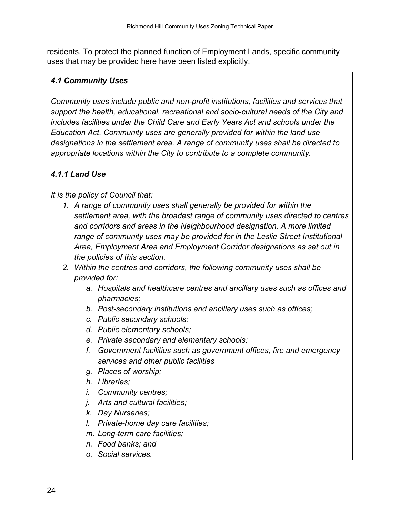residents. To protect the planned function of Employment Lands, specific community uses that may be provided here have been listed explicitly.

### *4.1 Community Uses*

*Community uses include public and non-profit institutions, facilities and services that support the health, educational, recreational and socio-cultural needs of the City and includes facilities under the Child Care and Early Years Act and schools under the Education Act. Community uses are generally provided for within the land use designations in the settlement area. A range of community uses shall be directed to appropriate locations within the City to contribute to a complete community.* 

### *4.1.1 Land Use*

*It is the policy of Council that:* 

- *1. A range of community uses shall generally be provided for within the settlement area, with the broadest range of community uses directed to centres and corridors and areas in the Neighbourhood designation. A more limited range of community uses may be provided for in the Leslie Street Institutional Area, Employment Area and Employment Corridor designations as set out in the policies of this section.*
- *2. Within the centres and corridors, the following community uses shall be provided for:* 
	- *a. Hospitals and healthcare centres and ancillary uses such as offices and pharmacies;*
	- *b. Post-secondary institutions and ancillary uses such as offices;*
	- *c. Public secondary schools;*
	- *d. Public elementary schools;*
	- *e. Private secondary and elementary schools;*
	- *f. Government facilities such as government offices, fire and emergency services and other public facilities*
	- *g. Places of worship;*
	- *h. Libraries;*
	- *i. Community centres;*
	- *j. Arts and cultural facilities;*
	- *k. Day Nurseries;*
	- *l. Private-home day care facilities;*
	- *m. Long-term care facilities;*
	- *n. Food banks; and*
	- *o. Social services.*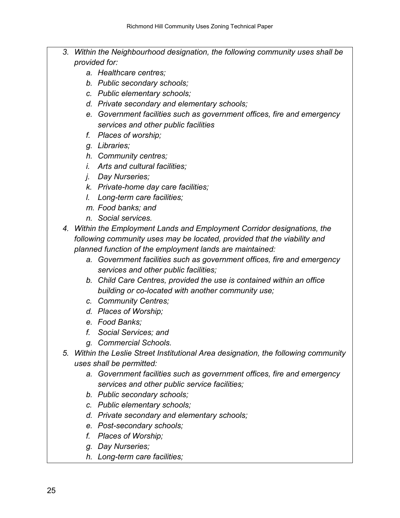- *3. Within the Neighbourhood designation, the following community uses shall be provided for:*
	- *a. Healthcare centres;*
	- *b. Public secondary schools;*
	- *c. Public elementary schools;*
	- *d. Private secondary and elementary schools;*
	- *e. Government facilities such as government offices, fire and emergency services and other public facilities*
	- *f. Places of worship;*
	- *g. Libraries;*
	- *h. Community centres;*
	- *i. Arts and cultural facilities;*
	- *j. Day Nurseries;*
	- *k. Private-home day care facilities;*
	- *l. Long-term care facilities;*
	- *m. Food banks; and*
	- *n. Social services.*
- *4. Within the Employment Lands and Employment Corridor designations, the following community uses may be located, provided that the viability and planned function of the employment lands are maintained:* 
	- *a. Government facilities such as government offices, fire and emergency services and other public facilities;*
	- *b. Child Care Centres, provided the use is contained within an office building or co-located with another community use;*
	- *c. Community Centres;*
	- *d. Places of Worship;*
	- *e. Food Banks;*
	- *f. Social Services; and*
	- *g. Commercial Schools.*
- *5. Within the Leslie Street Institutional Area designation, the following community uses shall be permitted:*
	- *a. Government facilities such as government offices, fire and emergency services and other public service facilities;*
	- *b. Public secondary schools;*
	- *c. Public elementary schools;*
	- *d. Private secondary and elementary schools;*
	- *e. Post-secondary schools;*
	- *f. Places of Worship;*
	- *g. Day Nurseries;*
	- *h. Long-term care facilities;*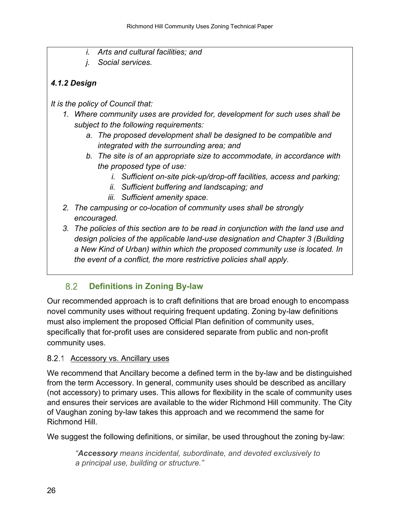- *i. Arts and cultural facilities; and*
- *j. Social services.*

### *4.1.2 Design*

*It is the policy of Council that:*

- *1. Where community uses are provided for, development for such uses shall be subject to the following requirements:*
	- *a. The proposed development shall be designed to be compatible and integrated with the surrounding area; and*
	- *b. The site is of an appropriate size to accommodate, in accordance with the proposed type of use:* 
		- *i. Sufficient on-site pick-up/drop-off facilities, access and parking;*
		- *ii. Sufficient buffering and landscaping; and*
		- *iii. Sufficient amenity space.*
- *2. The campusing or co-location of community uses shall be strongly encouraged.*
- *3. The policies of this section are to be read in conjunction with the land use and design policies of the applicable land-use designation and Chapter 3 (Building a New Kind of Urban) within which the proposed community use is located. In the event of a conflict, the more restrictive policies shall apply.*

#### <span id="page-29-0"></span>8.2 **Definitions in Zoning By-law**

Our recommended approach is to craft definitions that are broad enough to encompass novel community uses without requiring frequent updating. Zoning by-law definitions must also implement the proposed Official Plan definition of community uses, specifically that for-profit uses are considered separate from public and non-profit community uses.

### <span id="page-29-1"></span>8.2.1 Accessory vs. Ancillary uses

We recommend that Ancillary become a defined term in the by-law and be distinguished from the term Accessory. In general, community uses should be described as ancillary (not accessory) to primary uses. This allows for flexibility in the scale of community uses and ensures their services are available to the wider Richmond Hill community. The City of Vaughan zoning by-law takes this approach and we recommend the same for Richmond Hill.

We suggest the following definitions, or similar, be used throughout the zoning by-law:

*"Accessory means incidental, subordinate, and devoted exclusively to a principal use, building or structure."*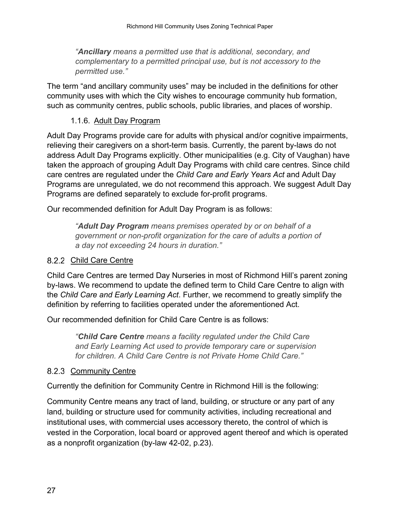*"Ancillary means a permitted use that is additional, secondary, and complementary to a permitted principal use, but is not accessory to the permitted use."*

The term "and ancillary community uses" may be included in the definitions for other community uses with which the City wishes to encourage community hub formation, such as community centres, public schools, public libraries, and places of worship.

#### 1.1.6. Adult Day Program

<span id="page-30-0"></span>Adult Day Programs provide care for adults with physical and/or cognitive impairments, relieving their caregivers on a short-term basis. Currently, the parent by-laws do not address Adult Day Programs explicitly. Other municipalities (e.g. City of Vaughan) have taken the approach of grouping Adult Day Programs with child care centres. Since child care centres are regulated under the *Child Care and Early Years Act* and Adult Day Programs are unregulated, we do not recommend this approach. We suggest Adult Day Programs are defined separately to exclude for-profit programs.

Our recommended definition for Adult Day Program is as follows:

*"Adult Day Program means premises operated by or on behalf of a government or non-profit organization for the care of adults a portion of a day not exceeding 24 hours in duration."*

#### <span id="page-30-1"></span>8.2.2 Child Care Centre

Child Care Centres are termed Day Nurseries in most of Richmond Hill's parent zoning by-laws. We recommend to update the defined term to Child Care Centre to align with the *Child Care and Early Learning Act*. Further, we recommend to greatly simplify the definition by referring to facilities operated under the aforementioned Act.

Our recommended definition for Child Care Centre is as follows:

*"Child Care Centre means a facility regulated under the Child Care and Early Learning Act used to provide temporary care or supervision for children. A Child Care Centre is not Private Home Child Care."*

#### <span id="page-30-2"></span>8.2.3 Community Centre

Currently the definition for Community Centre in Richmond Hill is the following:

Community Centre means any tract of land, building, or structure or any part of any land, building or structure used for community activities, including recreational and institutional uses, with commercial uses accessory thereto, the control of which is vested in the Corporation, local board or approved agent thereof and which is operated as a nonprofit organization (by-law 42-02, p.23).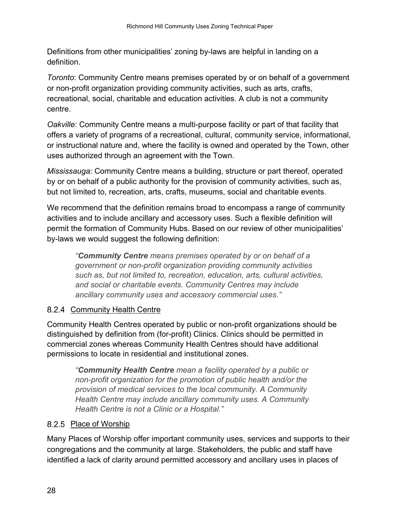Definitions from other municipalities' zoning by-laws are helpful in landing on a definition.

*Toronto*: Community Centre means premises operated by or on behalf of a government or non-profit organization providing community activities, such as arts, crafts, recreational, social, charitable and education activities. A club is not a community centre.

*Oakville*: Community Centre means a multi-purpose facility or part of that facility that offers a variety of programs of a recreational, cultural, community service, informational, or instructional nature and, where the facility is owned and operated by the Town, other uses authorized through an agreement with the Town.

*Mississauga*: Community Centre means a building, structure or part thereof, operated by or on behalf of a public authority for the provision of community activities, such as, but not limited to, recreation, arts, crafts, museums, social and charitable events.

We recommend that the definition remains broad to encompass a range of community activities and to include ancillary and accessory uses. Such a flexible definition will permit the formation of Community Hubs. Based on our review of other municipalities' by-laws we would suggest the following definition:

*"Community Centre means premises operated by or on behalf of a government or non-profit organization providing community activities such as, but not limited to, recreation, education, arts, cultural activities, and social or charitable events. Community Centres may include ancillary community uses and accessory commercial uses."*

### <span id="page-31-0"></span>8.2.4 Community Health Centre

Community Health Centres operated by public or non-profit organizations should be distinguished by definition from (for-profit) Clinics. Clinics should be permitted in commercial zones whereas Community Health Centres should have additional permissions to locate in residential and institutional zones.

*"Community Health Centre mean a facility operated by a public or non-profit organization for the promotion of public health and/or the provision of medical services to the local community. A Community Health Centre may include ancillary community uses. A Community Health Centre is not a Clinic or a Hospital."* 

### <span id="page-31-1"></span>8.2.5 Place of Worship

Many Places of Worship offer important community uses, services and supports to their congregations and the community at large. Stakeholders, the public and staff have identified a lack of clarity around permitted accessory and ancillary uses in places of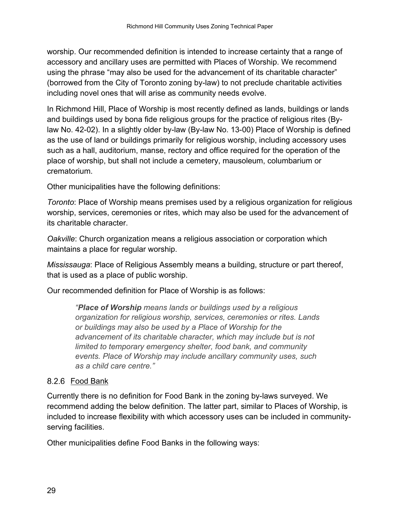worship. Our recommended definition is intended to increase certainty that a range of accessory and ancillary uses are permitted with Places of Worship. We recommend using the phrase "may also be used for the advancement of its charitable character" (borrowed from the City of Toronto zoning by-law) to not preclude charitable activities including novel ones that will arise as community needs evolve.

In Richmond Hill, Place of Worship is most recently defined as lands, buildings or lands and buildings used by bona fide religious groups for the practice of religious rites (Bylaw No. 42-02). In a slightly older by-law (By-law No. 13-00) Place of Worship is defined as the use of land or buildings primarily for religious worship, including accessory uses such as a hall, auditorium, manse, rectory and office required for the operation of the place of worship, but shall not include a cemetery, mausoleum, columbarium or crematorium.

Other municipalities have the following definitions:

*Toronto*: Place of Worship means premises used by a religious organization for religious worship, services, ceremonies or rites, which may also be used for the advancement of its charitable character.

*Oakville*: Church organization means a religious association or corporation which maintains a place for regular worship.

*Mississauga*: Place of Religious Assembly means a building, structure or part thereof, that is used as a place of public worship.

Our recommended definition for Place of Worship is as follows:

*"Place of Worship means lands or buildings used by a religious organization for religious worship, services, ceremonies or rites. Lands or buildings may also be used by a Place of Worship for the advancement of its charitable character, which may include but is not limited to temporary emergency shelter, food bank, and community events. Place of Worship may include ancillary community uses, such as a child care centre."*

### <span id="page-32-0"></span>8.2.6 Food Bank

Currently there is no definition for Food Bank in the zoning by-laws surveyed. We recommend adding the below definition. The latter part, similar to Places of Worship, is included to increase flexibility with which accessory uses can be included in communityserving facilities.

Other municipalities define Food Banks in the following ways: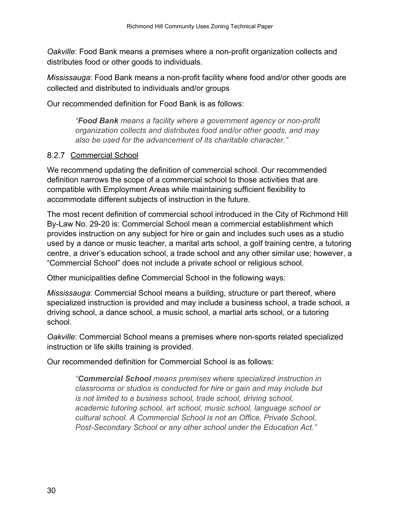*Oakville*: Food Bank means a premises where a non-profit organization collects and distributes food or other goods to individuals.

*Mississauga*: Food Bank means a non-profit facility where food and/or other goods are collected and distributed to individuals and/or groups

Our recommended definition for Food Bank is as follows:

*"Food Bank means a facility where a government agency or non-profit organization collects and distributes food and/or other goods, and may also be used for the advancement of its charitable character."*

### <span id="page-33-0"></span>8.2.7 Commercial School

We recommend updating the definition of commercial school. Our recommended definition narrows the scope of a commercial school to those activities that are compatible with Employment Areas while maintaining sufficient flexibility to accommodate different subjects of instruction in the future.

The most recent definition of commercial school introduced in the City of Richmond Hill By-Law No. 29-20 is: Commercial School mean a commercial establishment which provides instruction on any subject for hire or gain and includes such uses as a studio used by a dance or music teacher, a marital arts school, a golf training centre, a tutoring centre, a driver's education school, a trade school and any other similar use; however, a "Commercial School" does not include a private school or religious school.

Other municipalities define Commercial School in the following ways:

*Mississauga*: Commercial School means a building, structure or part thereof, where specialized instruction is provided and may include a business school, a trade school, a driving school, a dance school, a music school, a martial arts school, or a tutoring school.

*Oakville*: Commercial School means a premises where non-sports related specialized instruction or life skills training is provided.

Our recommended definition for Commercial School is as follows:

*"Commercial School means premises where specialized instruction in classrooms or studios is conducted for hire or gain and may include but is not limited to a business school, trade school, driving school, academic tutoring school, art school, music school, language school or cultural school. A Commercial School is not an Office, Private School, Post-Secondary School or any other school under the Education Act."*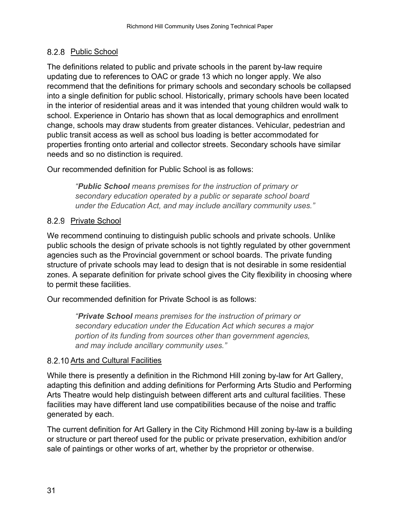### <span id="page-34-0"></span>8.2.8 Public School

The definitions related to public and private schools in the parent by-law require updating due to references to OAC or grade 13 which no longer apply. We also recommend that the definitions for primary schools and secondary schools be collapsed into a single definition for public school. Historically, primary schools have been located in the interior of residential areas and it was intended that young children would walk to school. Experience in Ontario has shown that as local demographics and enrollment change, schools may draw students from greater distances. Vehicular, pedestrian and public transit access as well as school bus loading is better accommodated for properties fronting onto arterial and collector streets. Secondary schools have similar needs and so no distinction is required.

Our recommended definition for Public School is as follows:

*"Public School means premises for the instruction of primary or secondary education operated by a public or separate school board under the Education Act, and may include ancillary community uses."* 

### <span id="page-34-1"></span>8.2.9 Private School

We recommend continuing to distinguish public schools and private schools. Unlike public schools the design of private schools is not tightly regulated by other government agencies such as the Provincial government or school boards. The private funding structure of private schools may lead to design that is not desirable in some residential zones. A separate definition for private school gives the City flexibility in choosing where to permit these facilities.

Our recommended definition for Private School is as follows:

*"Private School means premises for the instruction of primary or secondary education under the Education Act which secures a major portion of its funding from sources other than government agencies, and may include ancillary community uses."*

### <span id="page-34-2"></span>8.2.10 Arts and Cultural Facilities

While there is presently a definition in the Richmond Hill zoning by-law for Art Gallery, adapting this definition and adding definitions for Performing Arts Studio and Performing Arts Theatre would help distinguish between different arts and cultural facilities. These facilities may have different land use compatibilities because of the noise and traffic generated by each.

The current definition for Art Gallery in the City Richmond Hill zoning by-law is a building or structure or part thereof used for the public or private preservation, exhibition and/or sale of paintings or other works of art, whether by the proprietor or otherwise.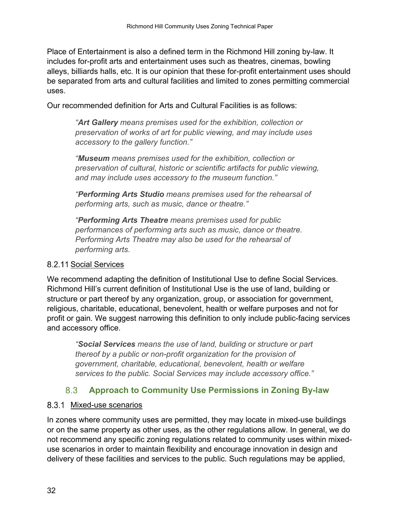Place of Entertainment is also a defined term in the Richmond Hill zoning by-law. It includes for-profit arts and entertainment uses such as theatres, cinemas, bowling alleys, billiards halls, etc. It is our opinion that these for-profit entertainment uses should be separated from arts and cultural facilities and limited to zones permitting commercial uses.

Our recommended definition for Arts and Cultural Facilities is as follows:

*"Art Gallery means premises used for the exhibition, collection or preservation of works of art for public viewing, and may include uses accessory to the gallery function."*

*"Museum means premises used for the exhibition, collection or preservation of cultural, historic or scientific artifacts for public viewing, and may include uses accessory to the museum function."*

*"Performing Arts Studio means premises used for the rehearsal of performing arts, such as music, dance or theatre."*

*"Performing Arts Theatre means premises used for public performances of performing arts such as music, dance or theatre. Performing Arts Theatre may also be used for the rehearsal of performing arts.*

#### <span id="page-35-0"></span>8.2.11 Social Services

We recommend adapting the definition of Institutional Use to define Social Services. Richmond Hill's current definition of Institutional Use is the use of land, building or structure or part thereof by any organization, group, or association for government, religious, charitable, educational, benevolent, health or welfare purposes and not for profit or gain. We suggest narrowing this definition to only include public-facing services and accessory office.

*"Social Services means the use of land, building or structure or part thereof by a public or non-profit organization for the provision of government, charitable, educational, benevolent, health or welfare services to the public. Social Services may include accessory office."*

#### 8.3 **Approach to Community Use Permissions in Zoning By-law**

#### <span id="page-35-2"></span><span id="page-35-1"></span>8.3.1 Mixed-use scenarios

In zones where community uses are permitted, they may locate in mixed-use buildings or on the same property as other uses, as the other regulations allow. In general, we do not recommend any specific zoning regulations related to community uses within mixeduse scenarios in order to maintain flexibility and encourage innovation in design and delivery of these facilities and services to the public. Such regulations may be applied,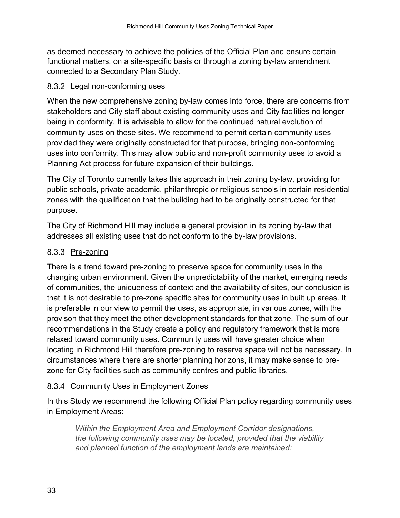as deemed necessary to achieve the policies of the Official Plan and ensure certain functional matters, on a site-specific basis or through a zoning by-law amendment connected to a Secondary Plan Study.

#### <span id="page-36-0"></span>8.3.2 Legal non-conforming uses

When the new comprehensive zoning by-law comes into force, there are concerns from stakeholders and City staff about existing community uses and City facilities no longer being in conformity. It is advisable to allow for the continued natural evolution of community uses on these sites. We recommend to permit certain community uses provided they were originally constructed for that purpose, bringing non-conforming uses into conformity. This may allow public and non-profit community uses to avoid a Planning Act process for future expansion of their buildings.

The City of Toronto currently takes this approach in their zoning by-law, providing for public schools, private academic, philanthropic or religious schools in certain residential zones with the qualification that the building had to be originally constructed for that purpose.

The City of Richmond Hill may include a general provision in its zoning by-law that addresses all existing uses that do not conform to the by-law provisions.

### <span id="page-36-1"></span>8.3.3 Pre-zoning

There is a trend toward pre-zoning to preserve space for community uses in the changing urban environment. Given the unpredictability of the market, emerging needs of communities, the uniqueness of context and the availability of sites, our conclusion is that it is not desirable to pre-zone specific sites for community uses in built up areas. It is preferable in our view to permit the uses, as appropriate, in various zones, with the provison that they meet the other development standards for that zone. The sum of our recommendations in the Study create a policy and regulatory framework that is more relaxed toward community uses. Community uses will have greater choice when locating in Richmond Hill therefore pre-zoning to reserve space will not be necessary. In circumstances where there are shorter planning horizons, it may make sense to prezone for City facilities such as community centres and public libraries.

### <span id="page-36-2"></span>8.3.4 Community Uses in Employment Zones

In this Study we recommend the following Official Plan policy regarding community uses in Employment Areas:

*Within the Employment Area and Employment Corridor designations, the following community uses may be located, provided that the viability and planned function of the employment lands are maintained:*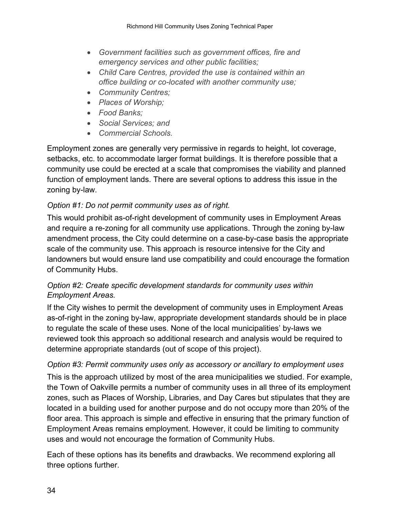- *Government facilities such as government offices, fire and emergency services and other public facilities;*
- *Child Care Centres, provided the use is contained within an office building or co-located with another community use;*
- *Community Centres;*
- *Places of Worship;*
- *Food Banks;*
- *Social Services; and*
- *Commercial Schools.*

Employment zones are generally very permissive in regards to height, lot coverage, setbacks, etc. to accommodate larger format buildings. It is therefore possible that a community use could be erected at a scale that compromises the viability and planned function of employment lands. There are several options to address this issue in the zoning by-law.

### *Option #1: Do not permit community uses as of right.*

This would prohibit as-of-right development of community uses in Employment Areas and require a re-zoning for all community use applications. Through the zoning by-law amendment process, the City could determine on a case-by-case basis the appropriate scale of the community use. This approach is resource intensive for the City and landowners but would ensure land use compatibility and could encourage the formation of Community Hubs.

### *Option #2: Create specific development standards for community uses within Employment Areas.*

If the City wishes to permit the development of community uses in Employment Areas as-of-right in the zoning by-law, appropriate development standards should be in place to regulate the scale of these uses. None of the local municipalities' by-laws we reviewed took this approach so additional research and analysis would be required to determine appropriate standards (out of scope of this project).

### *Option #3: Permit community uses only as accessory or ancillary to employment uses* This is the approach utilized by most of the area municipalities we studied. For example, the Town of Oakville permits a number of community uses in all three of its employment zones, such as Places of Worship, Libraries, and Day Cares but stipulates that they are located in a building used for another purpose and do not occupy more than 20% of the floor area. This approach is simple and effective in ensuring that the primary function of Employment Areas remains employment. However, it could be limiting to community uses and would not encourage the formation of Community Hubs.

Each of these options has its benefits and drawbacks. We recommend exploring all three options further.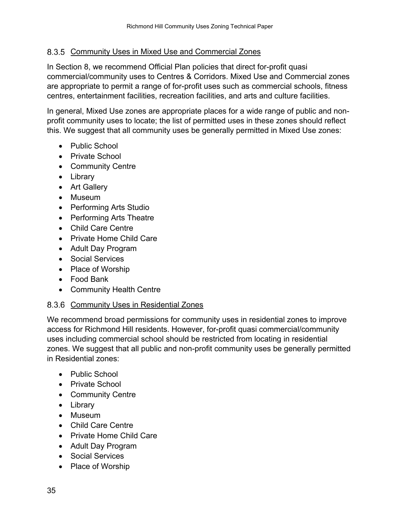#### <span id="page-38-0"></span>8.3.5 Community Uses in Mixed Use and Commercial Zones

In Section 8, we recommend Official Plan policies that direct for-profit quasi commercial/community uses to Centres & Corridors. Mixed Use and Commercial zones are appropriate to permit a range of for-profit uses such as commercial schools, fitness centres, entertainment facilities, recreation facilities, and arts and culture facilities.

In general, Mixed Use zones are appropriate places for a wide range of public and nonprofit community uses to locate; the list of permitted uses in these zones should reflect this. We suggest that all community uses be generally permitted in Mixed Use zones:

- Public School
- Private School
- Community Centre
- Library
- Art Gallery
- Museum
- Performing Arts Studio
- Performing Arts Theatre
- Child Care Centre
- Private Home Child Care
- Adult Day Program
- Social Services
- Place of Worship
- Food Bank
- Community Health Centre

#### <span id="page-38-1"></span>8.3.6 Community Uses in Residential Zones

We recommend broad permissions for community uses in residential zones to improve access for Richmond Hill residents. However, for-profit quasi commercial/community uses including commercial school should be restricted from locating in residential zones. We suggest that all public and non-profit community uses be generally permitted in Residential zones:

- Public School
- Private School
- Community Centre
- Library
- Museum
- Child Care Centre
- Private Home Child Care
- Adult Day Program
- Social Services
- Place of Worship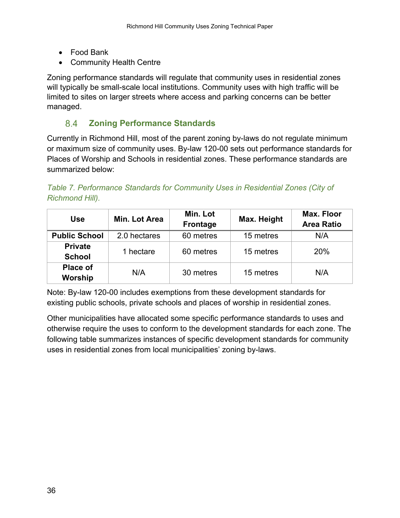- Food Bank
- Community Health Centre

Zoning performance standards will regulate that community uses in residential zones will typically be small-scale local institutions. Community uses with high traffic will be limited to sites on larger streets where access and parking concerns can be better managed.

#### 8.4 **Zoning Performance Standards**

<span id="page-39-0"></span>Currently in Richmond Hill, most of the parent zoning by-laws do not regulate minimum or maximum size of community uses. By-law 120-00 sets out performance standards for Places of Worship and Schools in residential zones. These performance standards are summarized below:

*Table 7. Performance Standards for Community Uses in Residential Zones (City of Richmond Hill).* 

| <b>Use</b>                      | Min. Lot Area | Min. Lot<br><b>Frontage</b> | Max. Height | <b>Max. Floor</b><br><b>Area Ratio</b> |  |
|---------------------------------|---------------|-----------------------------|-------------|----------------------------------------|--|
| <b>Public School</b>            | 2.0 hectares  | 60 metres                   | 15 metres   | N/A                                    |  |
| <b>Private</b><br><b>School</b> | 1 hectare     | 60 metres                   | 15 metres   | 20%                                    |  |
| <b>Place of</b><br>Worship      | N/A           | 30 metres                   | 15 metres   | N/A                                    |  |

Note: By-law 120-00 includes exemptions from these development standards for existing public schools, private schools and places of worship in residential zones.

Other municipalities have allocated some specific performance standards to uses and otherwise require the uses to conform to the development standards for each zone. The following table summarizes instances of specific development standards for community uses in residential zones from local municipalities' zoning by-laws.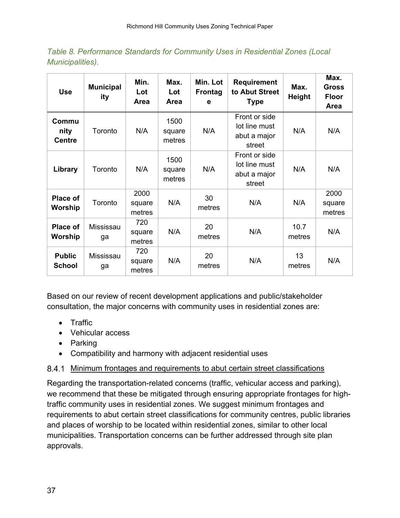*Table 8. Performance Standards for Community Uses in Residential Zones (Local Municipalities).* 

| <b>Use</b>                     | <b>Municipal</b><br>ity | Min.<br>Lot<br>Area      | Max.<br>Lot<br><b>Area</b> | Min. Lot<br><b>Frontag</b><br>е | <b>Requirement</b><br>to Abut Street<br><b>Type</b>      | Max.<br><b>Height</b> | Max.<br><b>Gross</b><br><b>Floor</b><br>Area |
|--------------------------------|-------------------------|--------------------------|----------------------------|---------------------------------|----------------------------------------------------------|-----------------------|----------------------------------------------|
| Commu<br>nity<br><b>Centre</b> | Toronto                 | N/A                      | 1500<br>square<br>metres   | N/A                             | Front or side<br>lot line must<br>abut a major<br>street | N/A                   | N/A                                          |
| Library                        | Toronto                 | N/A                      | 1500<br>square<br>metres   | N/A                             | Front or side<br>lot line must<br>abut a major<br>street | N/A                   | N/A                                          |
| Place of<br>Worship            | Toronto                 | 2000<br>square<br>metres | N/A                        | 30<br>metres                    | N/A                                                      | N/A                   | 2000<br>square<br>metres                     |
| <b>Place of</b><br>Worship     | Mississau<br>ga         | 720<br>square<br>metres  | N/A                        | 20<br>metres                    | N/A                                                      | 10.7<br>metres        | N/A                                          |
| <b>Public</b><br><b>School</b> | Mississau<br>ga         | 720<br>square<br>metres  | N/A                        | 20<br>metres                    | N/A                                                      | 13<br>metres          | N/A                                          |

Based on our review of recent development applications and public/stakeholder consultation, the major concerns with community uses in residential zones are:

- Traffic
- Vehicular access
- Parking
- Compatibility and harmony with adjacent residential uses

### <span id="page-40-0"></span>8.4.1 Minimum frontages and requirements to abut certain street classifications

Regarding the transportation-related concerns (traffic, vehicular access and parking), we recommend that these be mitigated through ensuring appropriate frontages for hightraffic community uses in residential zones. We suggest minimum frontages and requirements to abut certain street classifications for community centres, public libraries and places of worship to be located within residential zones, similar to other local municipalities. Transportation concerns can be further addressed through site plan approvals.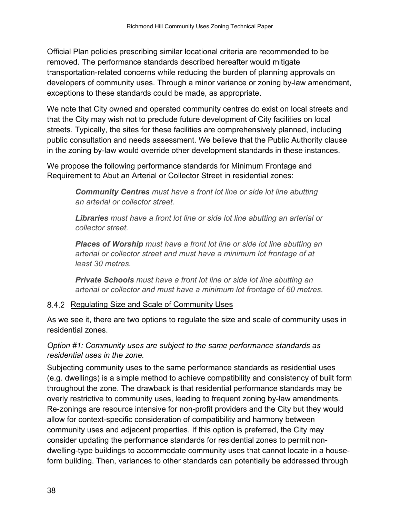Official Plan policies prescribing similar locational criteria are recommended to be removed. The performance standards described hereafter would mitigate transportation-related concerns while reducing the burden of planning approvals on developers of community uses. Through a minor variance or zoning by-law amendment, exceptions to these standards could be made, as appropriate.

We note that City owned and operated community centres do exist on local streets and that the City may wish not to preclude future development of City facilities on local streets. Typically, the sites for these facilities are comprehensively planned, including public consultation and needs assessment. We believe that the Public Authority clause in the zoning by-law would override other development standards in these instances.

We propose the following performance standards for Minimum Frontage and Requirement to Abut an Arterial or Collector Street in residential zones:

> *Community Centres must have a front lot line or side lot line abutting an arterial or collector street.*

*Libraries must have a front lot line or side lot line abutting an arterial or collector street.* 

*Places of Worship must have a front lot line or side lot line abutting an arterial or collector street and must have a minimum lot frontage of at least 30 metres.* 

*Private Schools must have a front lot line or side lot line abutting an arterial or collector and must have a minimum lot frontage of 60 metres.* 

### <span id="page-41-0"></span>8.4.2 Regulating Size and Scale of Community Uses

As we see it, there are two options to regulate the size and scale of community uses in residential zones.

### *Option #1: Community uses are subject to the same performance standards as residential uses in the zone.*

Subjecting community uses to the same performance standards as residential uses (e.g. dwellings) is a simple method to achieve compatibility and consistency of built form throughout the zone. The drawback is that residential performance standards may be overly restrictive to community uses, leading to frequent zoning by-law amendments. Re-zonings are resource intensive for non-profit providers and the City but they would allow for context-specific consideration of compatibility and harmony between community uses and adjacent properties. If this option is preferred, the City may consider updating the performance standards for residential zones to permit nondwelling-type buildings to accommodate community uses that cannot locate in a houseform building. Then, variances to other standards can potentially be addressed through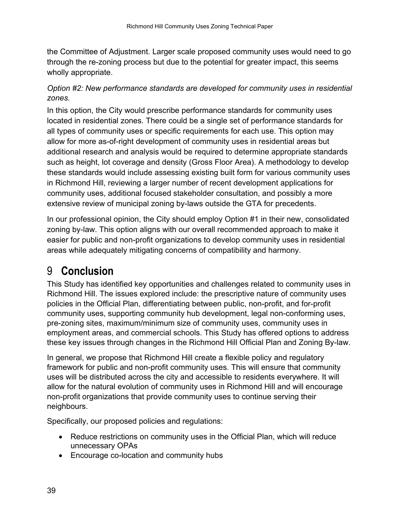the Committee of Adjustment. Larger scale proposed community uses would need to go through the re-zoning process but due to the potential for greater impact, this seems wholly appropriate.

### *Option #2: New performance standards are developed for community uses in residential zones.*

In this option, the City would prescribe performance standards for community uses located in residential zones. There could be a single set of performance standards for all types of community uses or specific requirements for each use. This option may allow for more as-of-right development of community uses in residential areas but additional research and analysis would be required to determine appropriate standards such as height, lot coverage and density (Gross Floor Area). A methodology to develop these standards would include assessing existing built form for various community uses in Richmond Hill, reviewing a larger number of recent development applications for community uses, additional focused stakeholder consultation, and possibly a more extensive review of municipal zoning by-laws outside the GTA for precedents.

In our professional opinion, the City should employ Option #1 in their new, consolidated zoning by-law. This option aligns with our overall recommended approach to make it easier for public and non-profit organizations to develop community uses in residential areas while adequately mitigating concerns of compatibility and harmony.

## <span id="page-42-0"></span>9 **Conclusion**

This Study has identified key opportunities and challenges related to community uses in Richmond Hill. The issues explored include: the prescriptive nature of community uses policies in the Official Plan, differentiating between public, non-profit, and for-profit community uses, supporting community hub development, legal non-conforming uses, pre-zoning sites, maximum/minimum size of community uses, community uses in employment areas, and commercial schools. This Study has offered options to address these key issues through changes in the Richmond Hill Official Plan and Zoning By-law.

In general, we propose that Richmond Hill create a flexible policy and regulatory framework for public and non-profit community uses. This will ensure that community uses will be distributed across the city and accessible to residents everywhere. It will allow for the natural evolution of community uses in Richmond Hill and will encourage non-profit organizations that provide community uses to continue serving their neighbours.

Specifically, our proposed policies and regulations:

- Reduce restrictions on community uses in the Official Plan, which will reduce unnecessary OPAs
- Encourage co-location and community hubs